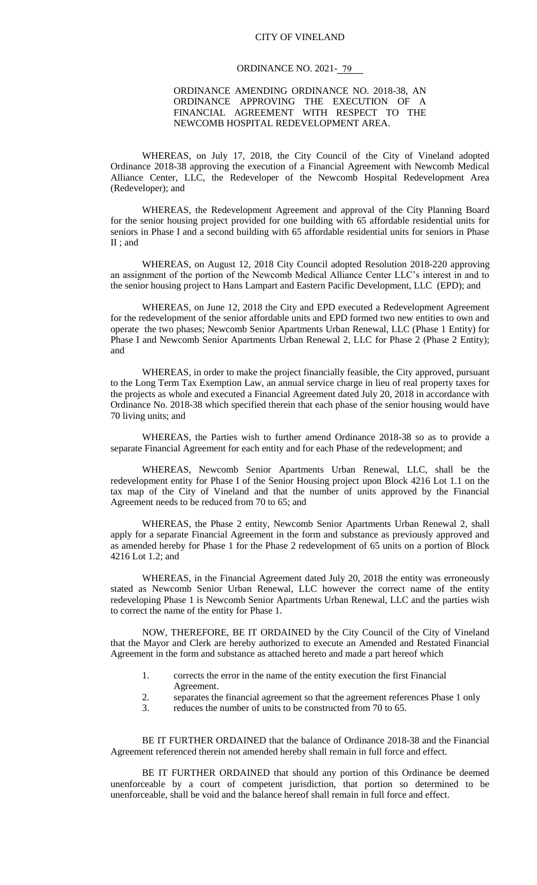## CITY OF VINELAND

#### ORDINANCE NO. 2021-<u>79</u>

#### ORDINANCE AMENDING ORDINANCE NO. 2018-38, AN ORDINANCE APPROVING THE EXECUTION OF A FINANCIAL AGREEMENT WITH RESPECT TO THE NEWCOMB HOSPITAL REDEVELOPMENT AREA.

WHEREAS, on July 17, 2018, the City Council of the City of Vineland adopted Ordinance 2018-38 approving the execution of a Financial Agreement with Newcomb Medical Alliance Center, LLC, the Redeveloper of the Newcomb Hospital Redevelopment Area (Redeveloper); and

WHEREAS, the Redevelopment Agreement and approval of the City Planning Board for the senior housing project provided for one building with 65 affordable residential units for seniors in Phase I and a second building with 65 affordable residential units for seniors in Phase II ; and

WHEREAS, on August 12, 2018 City Council adopted Resolution 2018-220 approving an assignment of the portion of the Newcomb Medical Alliance Center LLC's interest in and to the senior housing project to Hans Lampart and Eastern Pacific Development, LLC (EPD); and

WHEREAS, on June 12, 2018 the City and EPD executed a Redevelopment Agreement for the redevelopment of the senior affordable units and EPD formed two new entities to own and operate the two phases; Newcomb Senior Apartments Urban Renewal, LLC (Phase 1 Entity) for Phase I and Newcomb Senior Apartments Urban Renewal 2, LLC for Phase 2 (Phase 2 Entity); and

WHEREAS, in order to make the project financially feasible, the City approved, pursuant to the Long Term Tax Exemption Law, an annual service charge in lieu of real property taxes for the projects as whole and executed a Financial Agreement dated July 20, 2018 in accordance with Ordinance No. 2018-38 which specified therein that each phase of the senior housing would have 70 living units; and

WHEREAS, the Parties wish to further amend Ordinance 2018-38 so as to provide a separate Financial Agreement for each entity and for each Phase of the redevelopment; and

WHEREAS, Newcomb Senior Apartments Urban Renewal, LLC, shall be the redevelopment entity for Phase I of the Senior Housing project upon Block 4216 Lot 1.1 on the tax map of the City of Vineland and that the number of units approved by the Financial Agreement needs to be reduced from 70 to 65; and

WHEREAS, the Phase 2 entity, Newcomb Senior Apartments Urban Renewal 2, shall apply for a separate Financial Agreement in the form and substance as previously approved and as amended hereby for Phase 1 for the Phase 2 redevelopment of 65 units on a portion of Block 4216 Lot 1.2; and

WHEREAS, in the Financial Agreement dated July 20, 2018 the entity was erroneously stated as Newcomb Senior Urban Renewal, LLC however the correct name of the entity redeveloping Phase 1 is Newcomb Senior Apartments Urban Renewal, LLC and the parties wish to correct the name of the entity for Phase 1.

NOW, THEREFORE, BE IT ORDAINED by the City Council of the City of Vineland that the Mayor and Clerk are hereby authorized to execute an Amended and Restated Financial Agreement in the form and substance as attached hereto and made a part hereof which

- 1. corrects the error in the name of the entity execution the first Financial Agreement.
- 2. separates the financial agreement so that the agreement references Phase 1 only
- 3. reduces the number of units to be constructed from 70 to 65.

BE IT FURTHER ORDAINED that the balance of Ordinance 2018-38 and the Financial Agreement referenced therein not amended hereby shall remain in full force and effect.

BE IT FURTHER ORDAINED that should any portion of this Ordinance be deemed unenforceable by a court of competent jurisdiction, that portion so determined to be unenforceable, shall be void and the balance hereof shall remain in full force and effect.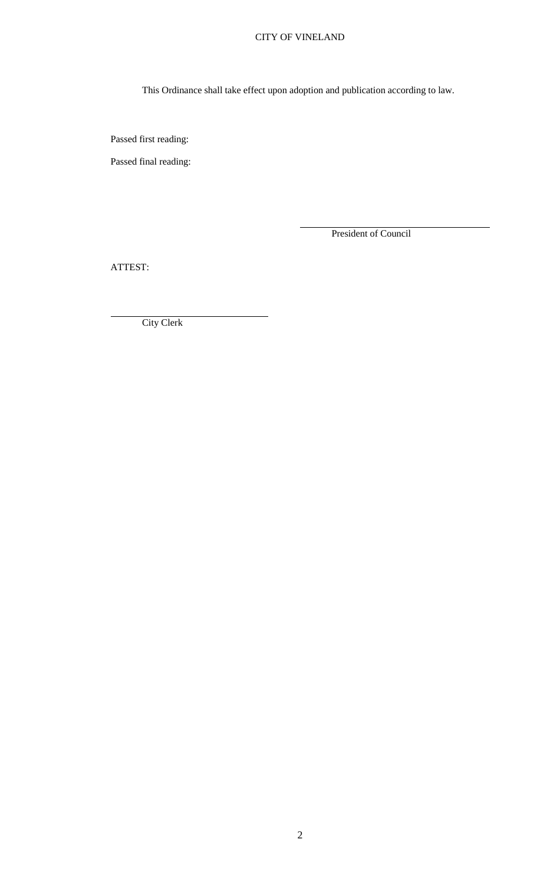# CITY OF VINELAND

This Ordinance shall take effect upon adoption and publication according to law.

Passed first reading:

Passed final reading:

President of Council

ATTEST:

City Clerk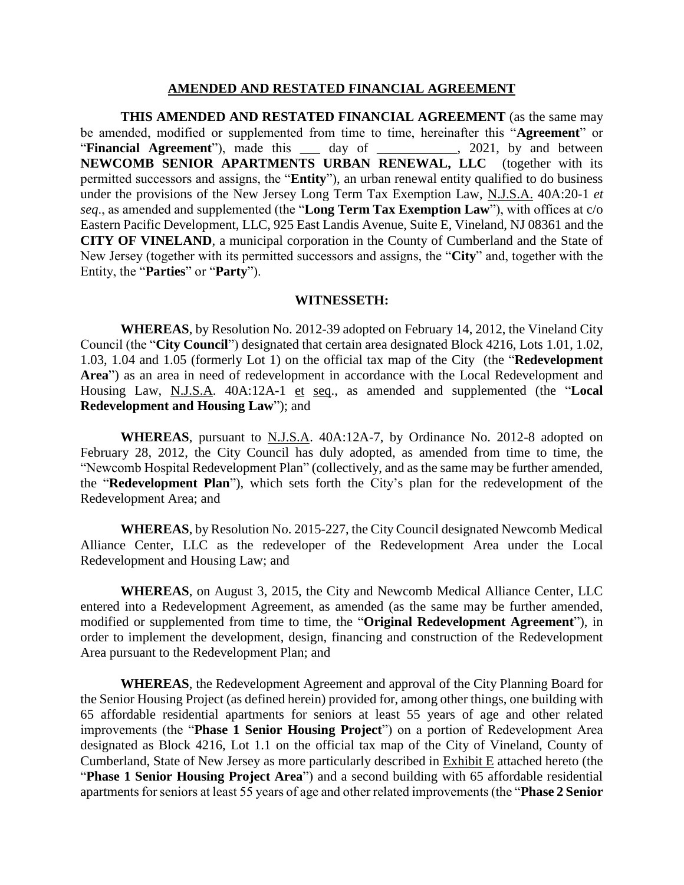#### **AMENDED AND RESTATED FINANCIAL AGREEMENT**

**THIS AMENDED AND RESTATED FINANCIAL AGREEMENT** (as the same may be amended, modified or supplemented from time to time, hereinafter this "**Agreement**" or "**Financial Agreement**"), made this day of , 2021, by and between **NEWCOMB SENIOR APARTMENTS URBAN RENEWAL, LLC** (together with its permitted successors and assigns, the "**Entity**"), an urban renewal entity qualified to do business under the provisions of the New Jersey Long Term Tax Exemption Law, N.J.S.A. 40A:20-1 *et seq*., as amended and supplemented (the "**Long Term Tax Exemption Law**"), with offices at c/o Eastern Pacific Development, LLC, 925 East Landis Avenue, Suite E, Vineland, NJ 08361 and the **CITY OF VINELAND**, a municipal corporation in the County of Cumberland and the State of New Jersey (together with its permitted successors and assigns, the "**City**" and, together with the Entity, the "**Parties**" or "**Party**").

#### **WITNESSETH:**

**WHEREAS**, by Resolution No. 2012-39 adopted on February 14, 2012, the Vineland City Council (the "**City Council**") designated that certain area designated Block 4216, Lots 1.01, 1.02, 1.03, 1.04 and 1.05 (formerly Lot 1) on the official tax map of the City (the "**Redevelopment Area**") as an area in need of redevelopment in accordance with the Local Redevelopment and Housing Law, N.J.S.A. 40A:12A-1 et seq., as amended and supplemented (the "**Local Redevelopment and Housing Law**"); and

**WHEREAS**, pursuant to N.J.S.A. 40A:12A-7, by Ordinance No. 2012-8 adopted on February 28, 2012, the City Council has duly adopted, as amended from time to time, the "Newcomb Hospital Redevelopment Plan" (collectively, and as the same may be further amended, the "**Redevelopment Plan**"), which sets forth the City's plan for the redevelopment of the Redevelopment Area; and

**WHEREAS**, by Resolution No. 2015-227, the City Council designated Newcomb Medical Alliance Center, LLC as the redeveloper of the Redevelopment Area under the Local Redevelopment and Housing Law; and

**WHEREAS**, on August 3, 2015, the City and Newcomb Medical Alliance Center, LLC entered into a Redevelopment Agreement, as amended (as the same may be further amended, modified or supplemented from time to time, the "**Original Redevelopment Agreement**"), in order to implement the development, design, financing and construction of the Redevelopment Area pursuant to the Redevelopment Plan; and

**WHEREAS**, the Redevelopment Agreement and approval of the City Planning Board for the Senior Housing Project (as defined herein) provided for, among other things, one building with 65 affordable residential apartments for seniors at least 55 years of age and other related improvements (the "**Phase 1 Senior Housing Project**") on a portion of Redevelopment Area designated as Block 4216, Lot 1.1 on the official tax map of the City of Vineland, County of Cumberland, State of New Jersey as more particularly described in Exhibit E attached hereto (the "**Phase 1 Senior Housing Project Area**") and a second building with 65 affordable residential apartments for seniors at least 55 years of age and other related improvements (the "**Phase 2 Senior**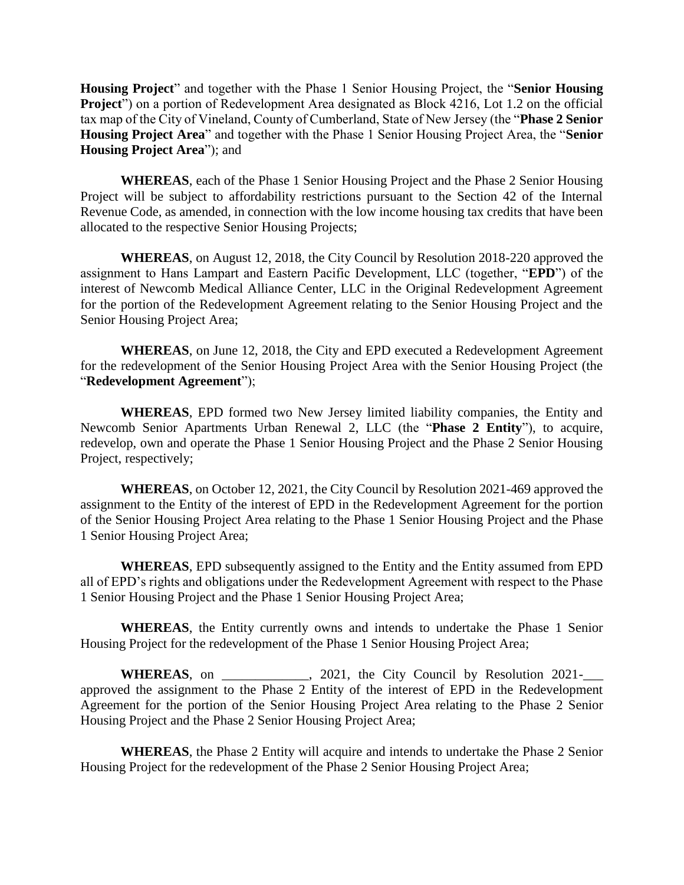**Housing Project**" and together with the Phase 1 Senior Housing Project, the "**Senior Housing Project**") on a portion of Redevelopment Area designated as Block 4216, Lot 1.2 on the official tax map of the City of Vineland, County of Cumberland, State of New Jersey (the "**Phase 2 Senior Housing Project Area**" and together with the Phase 1 Senior Housing Project Area, the "**Senior Housing Project Area**"); and

**WHEREAS**, each of the Phase 1 Senior Housing Project and the Phase 2 Senior Housing Project will be subject to affordability restrictions pursuant to the Section 42 of the Internal Revenue Code, as amended, in connection with the low income housing tax credits that have been allocated to the respective Senior Housing Projects;

**WHEREAS**, on August 12, 2018, the City Council by Resolution 2018-220 approved the assignment to Hans Lampart and Eastern Pacific Development, LLC (together, "**EPD**") of the interest of Newcomb Medical Alliance Center, LLC in the Original Redevelopment Agreement for the portion of the Redevelopment Agreement relating to the Senior Housing Project and the Senior Housing Project Area;

**WHEREAS**, on June 12, 2018, the City and EPD executed a Redevelopment Agreement for the redevelopment of the Senior Housing Project Area with the Senior Housing Project (the "**Redevelopment Agreement**");

**WHEREAS**, EPD formed two New Jersey limited liability companies, the Entity and Newcomb Senior Apartments Urban Renewal 2, LLC (the "**Phase 2 Entity**"), to acquire, redevelop, own and operate the Phase 1 Senior Housing Project and the Phase 2 Senior Housing Project, respectively;

**WHEREAS**, on October 12, 2021, the City Council by Resolution 2021-469 approved the assignment to the Entity of the interest of EPD in the Redevelopment Agreement for the portion of the Senior Housing Project Area relating to the Phase 1 Senior Housing Project and the Phase 1 Senior Housing Project Area;

**WHEREAS**, EPD subsequently assigned to the Entity and the Entity assumed from EPD all of EPD's rights and obligations under the Redevelopment Agreement with respect to the Phase 1 Senior Housing Project and the Phase 1 Senior Housing Project Area;

**WHEREAS**, the Entity currently owns and intends to undertake the Phase 1 Senior Housing Project for the redevelopment of the Phase 1 Senior Housing Project Area;

**WHEREAS**, on  $\qquad \qquad$ , 2021, the City Council by Resolution 2021approved the assignment to the Phase 2 Entity of the interest of EPD in the Redevelopment Agreement for the portion of the Senior Housing Project Area relating to the Phase 2 Senior Housing Project and the Phase 2 Senior Housing Project Area;

**WHEREAS**, the Phase 2 Entity will acquire and intends to undertake the Phase 2 Senior Housing Project for the redevelopment of the Phase 2 Senior Housing Project Area;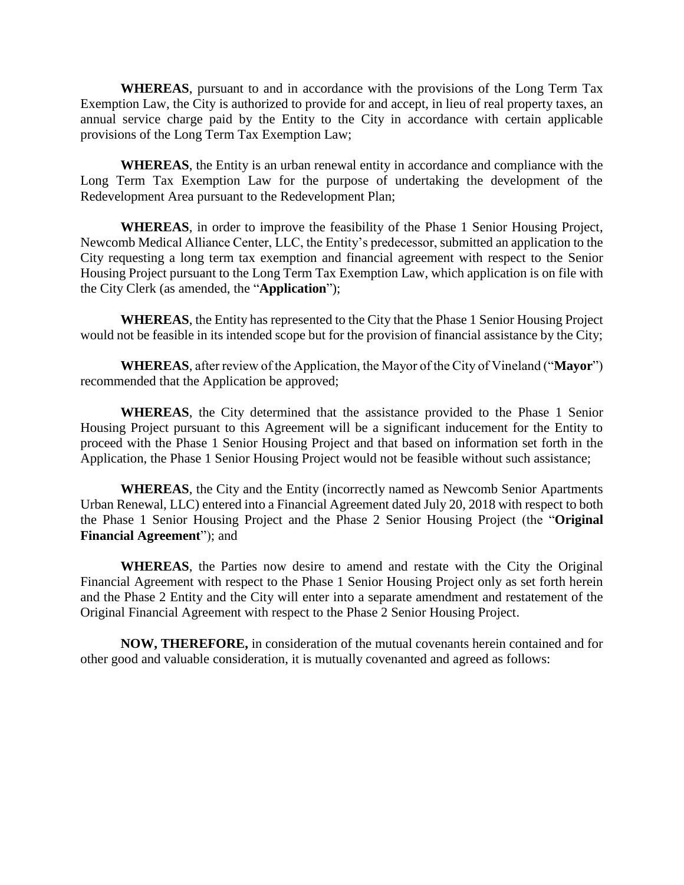**WHEREAS**, pursuant to and in accordance with the provisions of the Long Term Tax Exemption Law, the City is authorized to provide for and accept, in lieu of real property taxes, an annual service charge paid by the Entity to the City in accordance with certain applicable provisions of the Long Term Tax Exemption Law;

**WHEREAS**, the Entity is an urban renewal entity in accordance and compliance with the Long Term Tax Exemption Law for the purpose of undertaking the development of the Redevelopment Area pursuant to the Redevelopment Plan;

**WHEREAS**, in order to improve the feasibility of the Phase 1 Senior Housing Project, Newcomb Medical Alliance Center, LLC, the Entity's predecessor, submitted an application to the City requesting a long term tax exemption and financial agreement with respect to the Senior Housing Project pursuant to the Long Term Tax Exemption Law, which application is on file with the City Clerk (as amended, the "**Application**");

**WHEREAS**, the Entity has represented to the City that the Phase 1 Senior Housing Project would not be feasible in its intended scope but for the provision of financial assistance by the City;

**WHEREAS**, after review of the Application, the Mayor of the City of Vineland ("**Mayor**") recommended that the Application be approved;

**WHEREAS**, the City determined that the assistance provided to the Phase 1 Senior Housing Project pursuant to this Agreement will be a significant inducement for the Entity to proceed with the Phase 1 Senior Housing Project and that based on information set forth in the Application, the Phase 1 Senior Housing Project would not be feasible without such assistance;

**WHEREAS**, the City and the Entity (incorrectly named as Newcomb Senior Apartments Urban Renewal, LLC) entered into a Financial Agreement dated July 20, 2018 with respect to both the Phase 1 Senior Housing Project and the Phase 2 Senior Housing Project (the "**Original Financial Agreement**"); and

**WHEREAS**, the Parties now desire to amend and restate with the City the Original Financial Agreement with respect to the Phase 1 Senior Housing Project only as set forth herein and the Phase 2 Entity and the City will enter into a separate amendment and restatement of the Original Financial Agreement with respect to the Phase 2 Senior Housing Project.

**NOW, THEREFORE,** in consideration of the mutual covenants herein contained and for other good and valuable consideration, it is mutually covenanted and agreed as follows: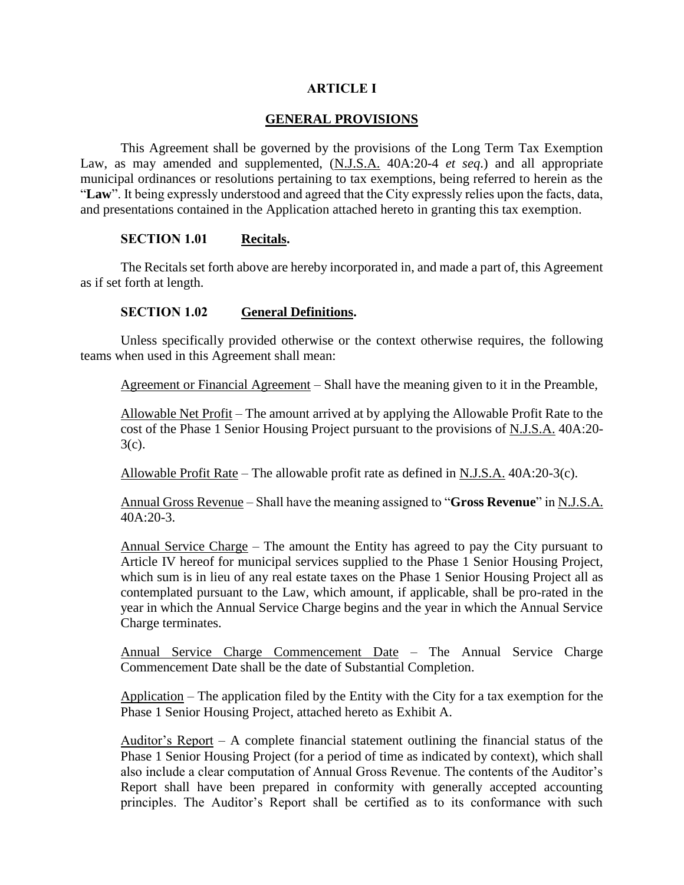# **ARTICLE I**

# **GENERAL PROVISIONS**

This Agreement shall be governed by the provisions of the Long Term Tax Exemption Law, as may amended and supplemented, (N.J.S.A. 40A:20-4 *et seq*.) and all appropriate municipal ordinances or resolutions pertaining to tax exemptions, being referred to herein as the "**Law**". It being expressly understood and agreed that the City expressly relies upon the facts, data, and presentations contained in the Application attached hereto in granting this tax exemption.

# **SECTION 1.01 Recitals.**

The Recitals set forth above are hereby incorporated in, and made a part of, this Agreement as if set forth at length.

# **SECTION 1.02 General Definitions.**

Unless specifically provided otherwise or the context otherwise requires, the following teams when used in this Agreement shall mean:

Agreement or Financial Agreement – Shall have the meaning given to it in the Preamble,

Allowable Net Profit – The amount arrived at by applying the Allowable Profit Rate to the cost of the Phase 1 Senior Housing Project pursuant to the provisions of N.J.S.A. 40A:20- 3(c).

Allowable Profit Rate – The allowable profit rate as defined in N.J.S.A. 40A:20-3(c).

Annual Gross Revenue – Shall have the meaning assigned to "**Gross Revenue**" in N.J.S.A. 40A:20-3.

Annual Service Charge – The amount the Entity has agreed to pay the City pursuant to Article IV hereof for municipal services supplied to the Phase 1 Senior Housing Project, which sum is in lieu of any real estate taxes on the Phase 1 Senior Housing Project all as contemplated pursuant to the Law, which amount, if applicable, shall be pro-rated in the year in which the Annual Service Charge begins and the year in which the Annual Service Charge terminates.

Annual Service Charge Commencement Date – The Annual Service Charge Commencement Date shall be the date of Substantial Completion.

Application – The application filed by the Entity with the City for a tax exemption for the Phase 1 Senior Housing Project, attached hereto as Exhibit A.

Auditor's Report  $-$  A complete financial statement outlining the financial status of the Phase 1 Senior Housing Project (for a period of time as indicated by context), which shall also include a clear computation of Annual Gross Revenue. The contents of the Auditor's Report shall have been prepared in conformity with generally accepted accounting principles. The Auditor's Report shall be certified as to its conformance with such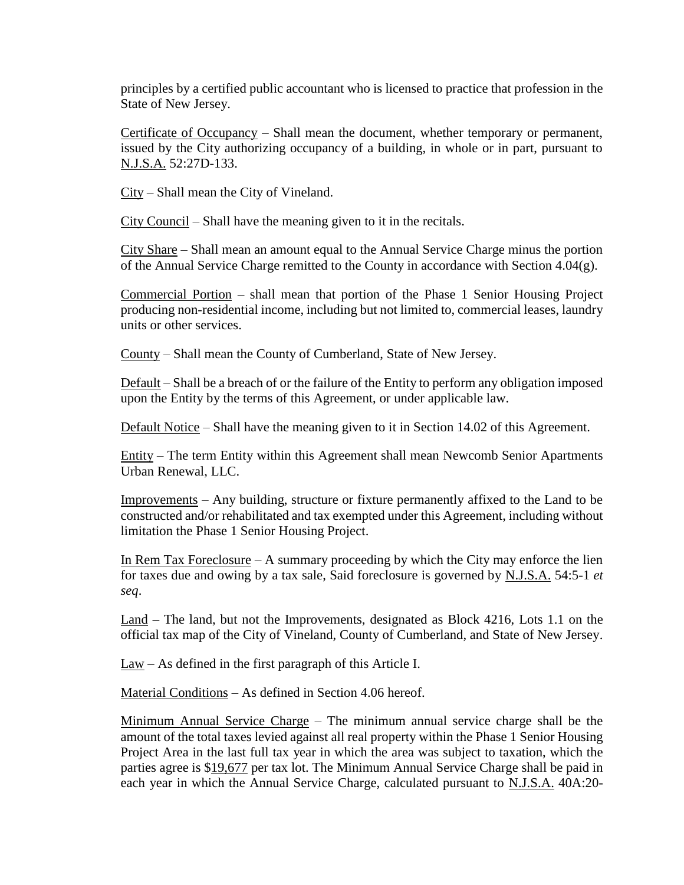principles by a certified public accountant who is licensed to practice that profession in the State of New Jersey.

Certificate of Occupancy – Shall mean the document, whether temporary or permanent, issued by the City authorizing occupancy of a building, in whole or in part, pursuant to N.J.S.A. 52:27D-133.

City – Shall mean the City of Vineland.

City Council – Shall have the meaning given to it in the recitals.

City Share – Shall mean an amount equal to the Annual Service Charge minus the portion of the Annual Service Charge remitted to the County in accordance with Section 4.04(g).

Commercial Portion – shall mean that portion of the Phase 1 Senior Housing Project producing non-residential income, including but not limited to, commercial leases, laundry units or other services.

County – Shall mean the County of Cumberland, State of New Jersey.

Default – Shall be a breach of or the failure of the Entity to perform any obligation imposed upon the Entity by the terms of this Agreement, or under applicable law.

Default Notice – Shall have the meaning given to it in Section 14.02 of this Agreement.

Entity – The term Entity within this Agreement shall mean Newcomb Senior Apartments Urban Renewal, LLC.

Improvements – Any building, structure or fixture permanently affixed to the Land to be constructed and/or rehabilitated and tax exempted under this Agreement, including without limitation the Phase 1 Senior Housing Project.

In Rem Tax Foreclosure  $-$  A summary proceeding by which the City may enforce the lien for taxes due and owing by a tax sale, Said foreclosure is governed by N.J.S.A. 54:5-1 *et seq*.

Land – The land, but not the Improvements, designated as Block 4216, Lots 1.1 on the official tax map of the City of Vineland, County of Cumberland, and State of New Jersey.

 $\text{Law} - \text{As defined in the first paragraph of this Article I.}$ 

Material Conditions – As defined in Section 4.06 hereof.

Minimum Annual Service Charge – The minimum annual service charge shall be the amount of the total taxes levied against all real property within the Phase 1 Senior Housing Project Area in the last full tax year in which the area was subject to taxation, which the parties agree is \$19,677 per tax lot. The Minimum Annual Service Charge shall be paid in each year in which the Annual Service Charge, calculated pursuant to N.J.S.A. 40A:20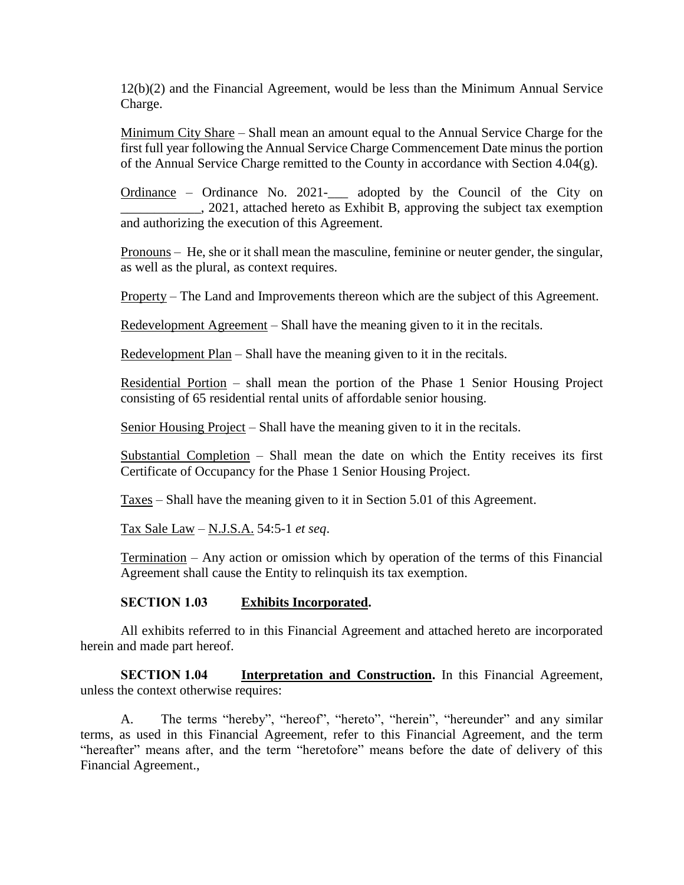12(b)(2) and the Financial Agreement, would be less than the Minimum Annual Service Charge.

Minimum City Share – Shall mean an amount equal to the Annual Service Charge for the first full year following the Annual Service Charge Commencement Date minus the portion of the Annual Service Charge remitted to the County in accordance with Section 4.04(g).

Ordinance – Ordinance No. 2021-\_\_\_ adopted by the Council of the City on \_\_\_\_\_\_\_\_\_\_\_\_, 2021, attached hereto as Exhibit B, approving the subject tax exemption and authorizing the execution of this Agreement.

Pronouns – He, she or it shall mean the masculine, feminine or neuter gender, the singular, as well as the plural, as context requires.

Property – The Land and Improvements thereon which are the subject of this Agreement.

Redevelopment Agreement – Shall have the meaning given to it in the recitals.

Redevelopment Plan – Shall have the meaning given to it in the recitals.

Residential Portion – shall mean the portion of the Phase 1 Senior Housing Project consisting of 65 residential rental units of affordable senior housing.

Senior Housing Project – Shall have the meaning given to it in the recitals.

Substantial Completion – Shall mean the date on which the Entity receives its first Certificate of Occupancy for the Phase 1 Senior Housing Project.

Taxes – Shall have the meaning given to it in Section 5.01 of this Agreement.

Tax Sale Law – N.J.S.A. 54:5-1 *et seq*.

Termination – Any action or omission which by operation of the terms of this Financial Agreement shall cause the Entity to relinquish its tax exemption.

# **SECTION 1.03 Exhibits Incorporated.**

All exhibits referred to in this Financial Agreement and attached hereto are incorporated herein and made part hereof.

**SECTION 1.04 Interpretation and Construction.** In this Financial Agreement, unless the context otherwise requires:

A. The terms "hereby", "hereof", "hereto", "herein", "hereunder" and any similar terms, as used in this Financial Agreement, refer to this Financial Agreement, and the term "hereafter" means after, and the term "heretofore" means before the date of delivery of this Financial Agreement.,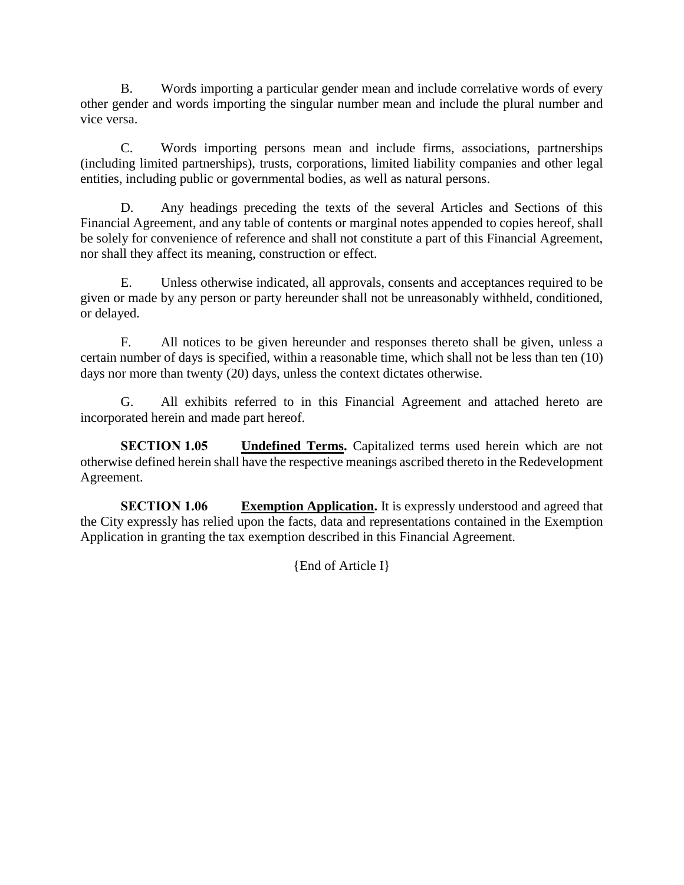B. Words importing a particular gender mean and include correlative words of every other gender and words importing the singular number mean and include the plural number and vice versa.

C. Words importing persons mean and include firms, associations, partnerships (including limited partnerships), trusts, corporations, limited liability companies and other legal entities, including public or governmental bodies, as well as natural persons.

D. Any headings preceding the texts of the several Articles and Sections of this Financial Agreement, and any table of contents or marginal notes appended to copies hereof, shall be solely for convenience of reference and shall not constitute a part of this Financial Agreement, nor shall they affect its meaning, construction or effect.

E. Unless otherwise indicated, all approvals, consents and acceptances required to be given or made by any person or party hereunder shall not be unreasonably withheld, conditioned, or delayed.

F. All notices to be given hereunder and responses thereto shall be given, unless a certain number of days is specified, within a reasonable time, which shall not be less than ten (10) days nor more than twenty (20) days, unless the context dictates otherwise.

G. All exhibits referred to in this Financial Agreement and attached hereto are incorporated herein and made part hereof.

**SECTION 1.05 Undefined Terms.** Capitalized terms used herein which are not otherwise defined herein shall have the respective meanings ascribed thereto in the Redevelopment Agreement.

**SECTION 1.06 Exemption Application.** It is expressly understood and agreed that the City expressly has relied upon the facts, data and representations contained in the Exemption Application in granting the tax exemption described in this Financial Agreement.

{End of Article I}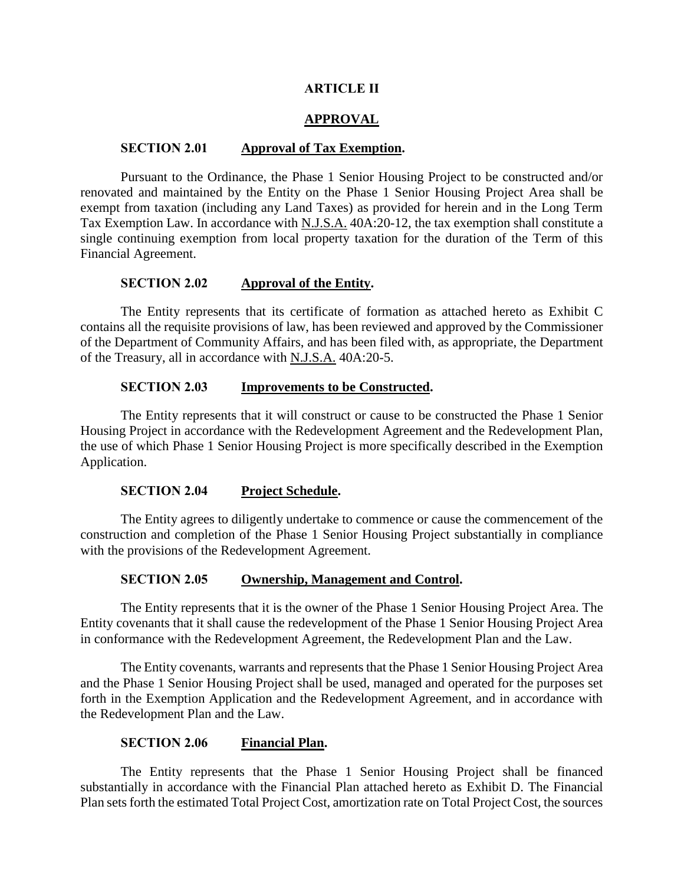## **ARTICLE II**

# **APPROVAL**

#### **SECTION 2.01 Approval of Tax Exemption.**

Pursuant to the Ordinance, the Phase 1 Senior Housing Project to be constructed and/or renovated and maintained by the Entity on the Phase 1 Senior Housing Project Area shall be exempt from taxation (including any Land Taxes) as provided for herein and in the Long Term Tax Exemption Law. In accordance with N.J.S.A. 40A:20-12, the tax exemption shall constitute a single continuing exemption from local property taxation for the duration of the Term of this Financial Agreement.

#### **SECTION 2.02 Approval of the Entity.**

The Entity represents that its certificate of formation as attached hereto as Exhibit C contains all the requisite provisions of law, has been reviewed and approved by the Commissioner of the Department of Community Affairs, and has been filed with, as appropriate, the Department of the Treasury, all in accordance with N.J.S.A. 40A:20-5.

## **SECTION 2.03 Improvements to be Constructed.**

The Entity represents that it will construct or cause to be constructed the Phase 1 Senior Housing Project in accordance with the Redevelopment Agreement and the Redevelopment Plan, the use of which Phase 1 Senior Housing Project is more specifically described in the Exemption Application.

## **SECTION 2.04 Project Schedule.**

The Entity agrees to diligently undertake to commence or cause the commencement of the construction and completion of the Phase 1 Senior Housing Project substantially in compliance with the provisions of the Redevelopment Agreement.

#### **SECTION 2.05 Ownership, Management and Control.**

The Entity represents that it is the owner of the Phase 1 Senior Housing Project Area. The Entity covenants that it shall cause the redevelopment of the Phase 1 Senior Housing Project Area in conformance with the Redevelopment Agreement, the Redevelopment Plan and the Law.

The Entity covenants, warrants and represents that the Phase 1 Senior Housing Project Area and the Phase 1 Senior Housing Project shall be used, managed and operated for the purposes set forth in the Exemption Application and the Redevelopment Agreement, and in accordance with the Redevelopment Plan and the Law.

## **SECTION 2.06 Financial Plan.**

The Entity represents that the Phase 1 Senior Housing Project shall be financed substantially in accordance with the Financial Plan attached hereto as Exhibit D. The Financial Plan sets forth the estimated Total Project Cost, amortization rate on Total Project Cost, the sources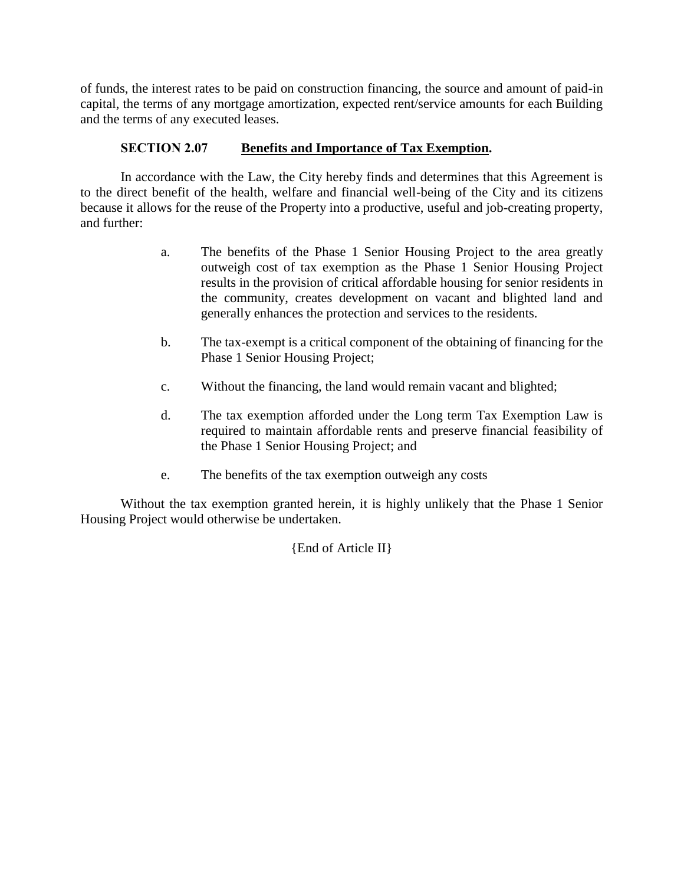of funds, the interest rates to be paid on construction financing, the source and amount of paid-in capital, the terms of any mortgage amortization, expected rent/service amounts for each Building and the terms of any executed leases.

# **SECTION 2.07 Benefits and Importance of Tax Exemption.**

In accordance with the Law, the City hereby finds and determines that this Agreement is to the direct benefit of the health, welfare and financial well-being of the City and its citizens because it allows for the reuse of the Property into a productive, useful and job-creating property, and further:

- a. The benefits of the Phase 1 Senior Housing Project to the area greatly outweigh cost of tax exemption as the Phase 1 Senior Housing Project results in the provision of critical affordable housing for senior residents in the community, creates development on vacant and blighted land and generally enhances the protection and services to the residents.
- b. The tax-exempt is a critical component of the obtaining of financing for the Phase 1 Senior Housing Project;
- c. Without the financing, the land would remain vacant and blighted;
- d. The tax exemption afforded under the Long term Tax Exemption Law is required to maintain affordable rents and preserve financial feasibility of the Phase 1 Senior Housing Project; and
- e. The benefits of the tax exemption outweigh any costs

Without the tax exemption granted herein, it is highly unlikely that the Phase 1 Senior Housing Project would otherwise be undertaken.

{End of Article II}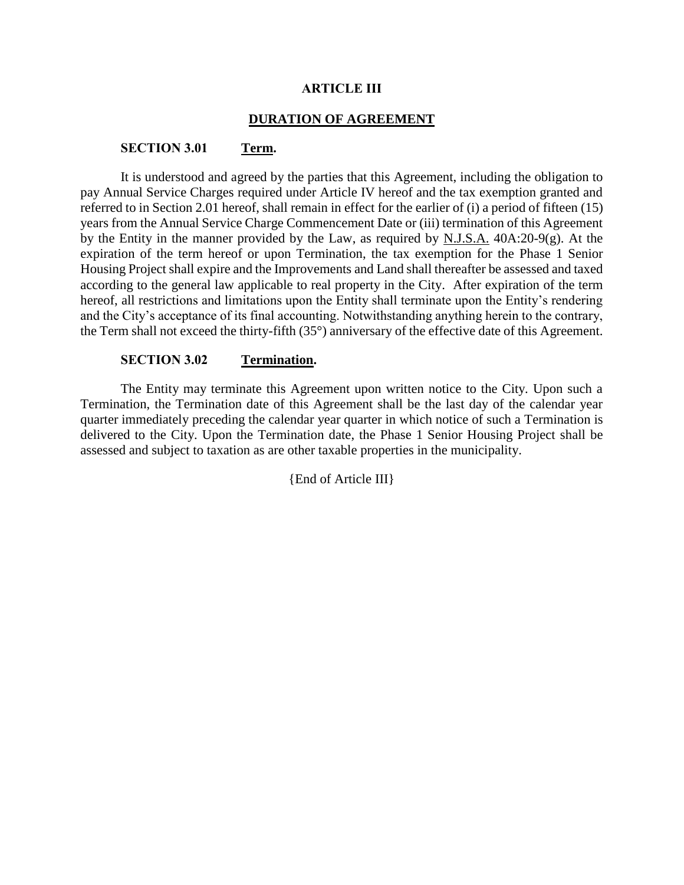## **ARTICLE III**

## **DURATION OF AGREEMENT**

## **SECTION 3.01 Term.**

It is understood and agreed by the parties that this Agreement, including the obligation to pay Annual Service Charges required under Article IV hereof and the tax exemption granted and referred to in Section 2.01 hereof, shall remain in effect for the earlier of (i) a period of fifteen (15) years from the Annual Service Charge Commencement Date or (iii) termination of this Agreement by the Entity in the manner provided by the Law, as required by N.J.S.A. 40A:20-9(g). At the expiration of the term hereof or upon Termination, the tax exemption for the Phase 1 Senior Housing Project shall expire and the Improvements and Land shall thereafter be assessed and taxed according to the general law applicable to real property in the City. After expiration of the term hereof, all restrictions and limitations upon the Entity shall terminate upon the Entity's rendering and the City's acceptance of its final accounting. Notwithstanding anything herein to the contrary, the Term shall not exceed the thirty-fifth (35°) anniversary of the effective date of this Agreement.

## **SECTION 3.02 Termination.**

The Entity may terminate this Agreement upon written notice to the City. Upon such a Termination, the Termination date of this Agreement shall be the last day of the calendar year quarter immediately preceding the calendar year quarter in which notice of such a Termination is delivered to the City. Upon the Termination date, the Phase 1 Senior Housing Project shall be assessed and subject to taxation as are other taxable properties in the municipality.

{End of Article III}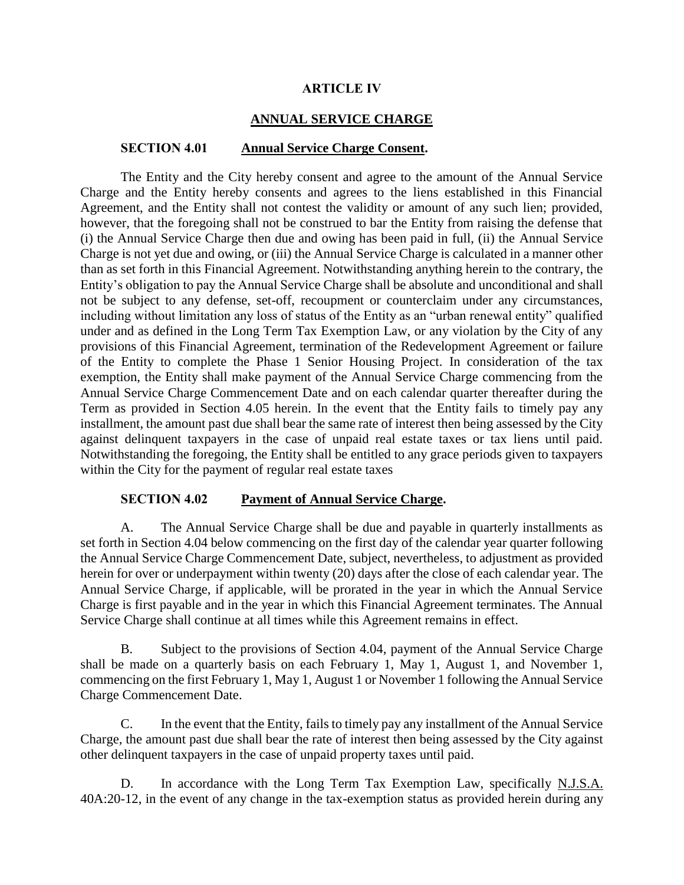## **ARTICLE IV**

# **ANNUAL SERVICE CHARGE**

## **SECTION 4.01 Annual Service Charge Consent.**

The Entity and the City hereby consent and agree to the amount of the Annual Service Charge and the Entity hereby consents and agrees to the liens established in this Financial Agreement, and the Entity shall not contest the validity or amount of any such lien; provided, however, that the foregoing shall not be construed to bar the Entity from raising the defense that (i) the Annual Service Charge then due and owing has been paid in full, (ii) the Annual Service Charge is not yet due and owing, or (iii) the Annual Service Charge is calculated in a manner other than as set forth in this Financial Agreement. Notwithstanding anything herein to the contrary, the Entity's obligation to pay the Annual Service Charge shall be absolute and unconditional and shall not be subject to any defense, set-off, recoupment or counterclaim under any circumstances, including without limitation any loss of status of the Entity as an "urban renewal entity" qualified under and as defined in the Long Term Tax Exemption Law, or any violation by the City of any provisions of this Financial Agreement, termination of the Redevelopment Agreement or failure of the Entity to complete the Phase 1 Senior Housing Project. In consideration of the tax exemption, the Entity shall make payment of the Annual Service Charge commencing from the Annual Service Charge Commencement Date and on each calendar quarter thereafter during the Term as provided in Section 4.05 herein. In the event that the Entity fails to timely pay any installment, the amount past due shall bear the same rate of interest then being assessed by the City against delinquent taxpayers in the case of unpaid real estate taxes or tax liens until paid. Notwithstanding the foregoing, the Entity shall be entitled to any grace periods given to taxpayers within the City for the payment of regular real estate taxes

## **SECTION 4.02 Payment of Annual Service Charge.**

A. The Annual Service Charge shall be due and payable in quarterly installments as set forth in Section 4.04 below commencing on the first day of the calendar year quarter following the Annual Service Charge Commencement Date, subject, nevertheless, to adjustment as provided herein for over or underpayment within twenty (20) days after the close of each calendar year. The Annual Service Charge, if applicable, will be prorated in the year in which the Annual Service Charge is first payable and in the year in which this Financial Agreement terminates. The Annual Service Charge shall continue at all times while this Agreement remains in effect.

B. Subject to the provisions of Section 4.04, payment of the Annual Service Charge shall be made on a quarterly basis on each February 1, May 1, August 1, and November 1, commencing on the first February 1, May 1, August 1 or November 1 following the Annual Service Charge Commencement Date.

C. In the event that the Entity, fails to timely pay any installment of the Annual Service Charge, the amount past due shall bear the rate of interest then being assessed by the City against other delinquent taxpayers in the case of unpaid property taxes until paid.

D. In accordance with the Long Term Tax Exemption Law, specifically N.J.S.A. 40A:20-12, in the event of any change in the tax-exemption status as provided herein during any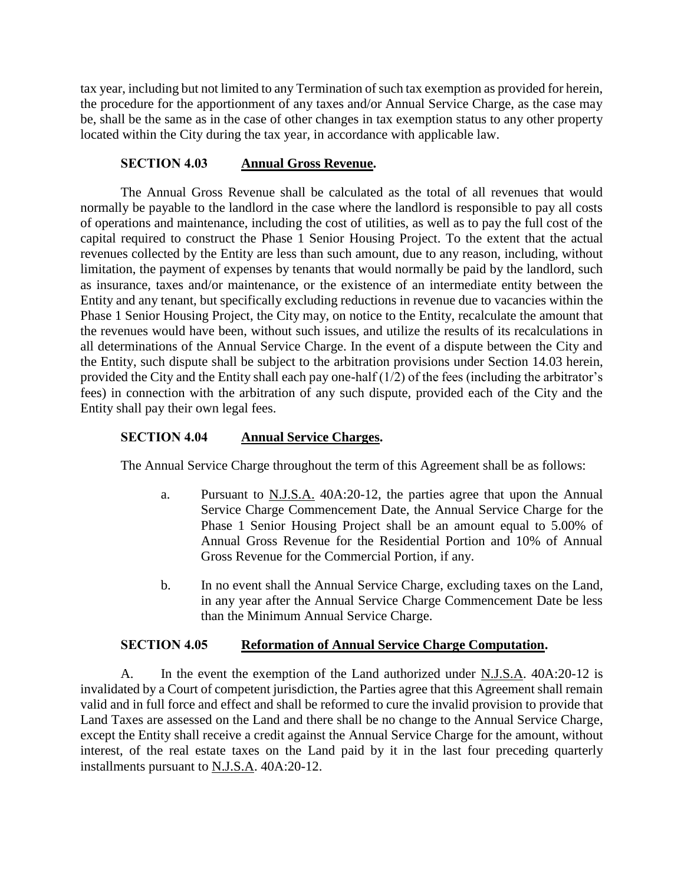tax year, including but not limited to any Termination of such tax exemption as provided for herein, the procedure for the apportionment of any taxes and/or Annual Service Charge, as the case may be, shall be the same as in the case of other changes in tax exemption status to any other property located within the City during the tax year, in accordance with applicable law.

## **SECTION 4.03 Annual Gross Revenue.**

The Annual Gross Revenue shall be calculated as the total of all revenues that would normally be payable to the landlord in the case where the landlord is responsible to pay all costs of operations and maintenance, including the cost of utilities, as well as to pay the full cost of the capital required to construct the Phase 1 Senior Housing Project. To the extent that the actual revenues collected by the Entity are less than such amount, due to any reason, including, without limitation, the payment of expenses by tenants that would normally be paid by the landlord, such as insurance, taxes and/or maintenance, or the existence of an intermediate entity between the Entity and any tenant, but specifically excluding reductions in revenue due to vacancies within the Phase 1 Senior Housing Project, the City may, on notice to the Entity, recalculate the amount that the revenues would have been, without such issues, and utilize the results of its recalculations in all determinations of the Annual Service Charge. In the event of a dispute between the City and the Entity, such dispute shall be subject to the arbitration provisions under Section 14.03 herein, provided the City and the Entity shall each pay one-half  $(1/2)$  of the fees (including the arbitrator's fees) in connection with the arbitration of any such dispute, provided each of the City and the Entity shall pay their own legal fees.

# **SECTION 4.04 Annual Service Charges.**

The Annual Service Charge throughout the term of this Agreement shall be as follows:

- a. Pursuant to N.J.S.A. 40A:20-12, the parties agree that upon the Annual Service Charge Commencement Date, the Annual Service Charge for the Phase 1 Senior Housing Project shall be an amount equal to 5.00% of Annual Gross Revenue for the Residential Portion and 10% of Annual Gross Revenue for the Commercial Portion, if any.
- b. In no event shall the Annual Service Charge, excluding taxes on the Land, in any year after the Annual Service Charge Commencement Date be less than the Minimum Annual Service Charge.

# **SECTION 4.05 Reformation of Annual Service Charge Computation.**

A. In the event the exemption of the Land authorized under N.J.S.A. 40A:20-12 is invalidated by a Court of competent jurisdiction, the Parties agree that this Agreement shall remain valid and in full force and effect and shall be reformed to cure the invalid provision to provide that Land Taxes are assessed on the Land and there shall be no change to the Annual Service Charge, except the Entity shall receive a credit against the Annual Service Charge for the amount, without interest, of the real estate taxes on the Land paid by it in the last four preceding quarterly installments pursuant to N.J.S.A. 40A:20-12.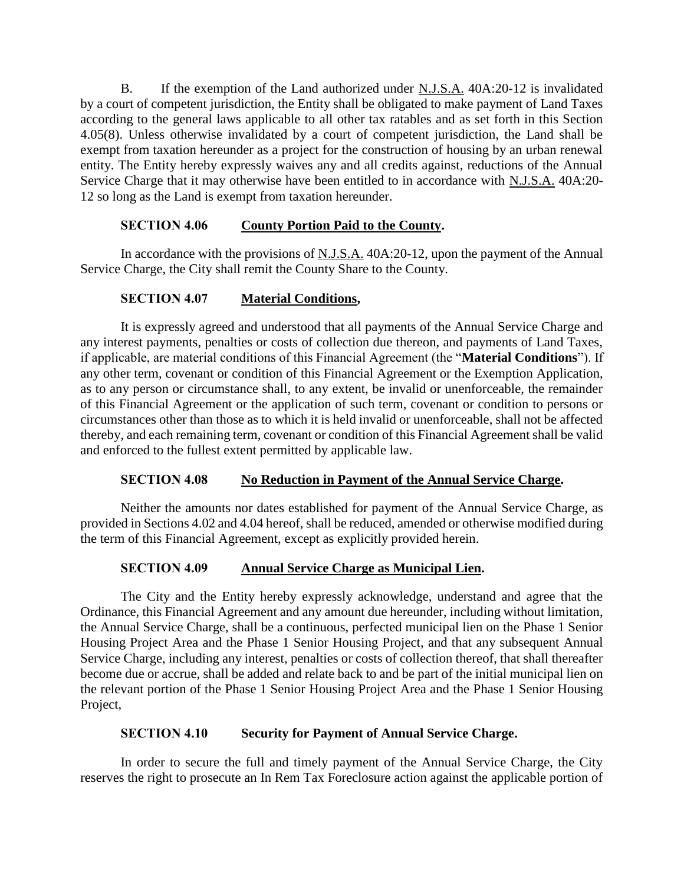B. If the exemption of the Land authorized under N.J.S.A. 40A:20-12 is invalidated by a court of competent jurisdiction, the Entity shall be obligated to make payment of Land Taxes according to the general laws applicable to all other tax ratables and as set forth in this Section 4.05(8). Unless otherwise invalidated by a court of competent jurisdiction, the Land shall be exempt from taxation hereunder as a project for the construction of housing by an urban renewal entity. The Entity hereby expressly waives any and all credits against, reductions of the Annual Service Charge that it may otherwise have been entitled to in accordance with N.J.S.A. 40A:20- 12 so long as the Land is exempt from taxation hereunder.

# **SECTION 4.06 County Portion Paid to the County.**

In accordance with the provisions of N.J.S.A. 40A:20-12, upon the payment of the Annual Service Charge, the City shall remit the County Share to the County.

# **SECTION 4.07 Material Conditions,**

It is expressly agreed and understood that all payments of the Annual Service Charge and any interest payments, penalties or costs of collection due thereon, and payments of Land Taxes, if applicable, are material conditions of this Financial Agreement (the "**Material Conditions**"). If any other term, covenant or condition of this Financial Agreement or the Exemption Application, as to any person or circumstance shall, to any extent, be invalid or unenforceable, the remainder of this Financial Agreement or the application of such term, covenant or condition to persons or circumstances other than those as to which it is held invalid or unenforceable, shall not be affected thereby, and each remaining term, covenant or condition of this Financial Agreement shall be valid and enforced to the fullest extent permitted by applicable law.

# **SECTION 4.08 No Reduction in Payment of the Annual Service Charge.**

Neither the amounts nor dates established for payment of the Annual Service Charge, as provided in Sections 4.02 and 4.04 hereof, shall be reduced, amended or otherwise modified during the term of this Financial Agreement, except as explicitly provided herein.

# **SECTION 4.09 Annual Service Charge as Municipal Lien.**

The City and the Entity hereby expressly acknowledge, understand and agree that the Ordinance, this Financial Agreement and any amount due hereunder, including without limitation, the Annual Service Charge, shall be a continuous, perfected municipal lien on the Phase 1 Senior Housing Project Area and the Phase 1 Senior Housing Project, and that any subsequent Annual Service Charge, including any interest, penalties or costs of collection thereof, that shall thereafter become due or accrue, shall be added and relate back to and be part of the initial municipal lien on the relevant portion of the Phase 1 Senior Housing Project Area and the Phase 1 Senior Housing Project,

# **SECTION 4.10 Security for Payment of Annual Service Charge.**

In order to secure the full and timely payment of the Annual Service Charge, the City reserves the right to prosecute an In Rem Tax Foreclosure action against the applicable portion of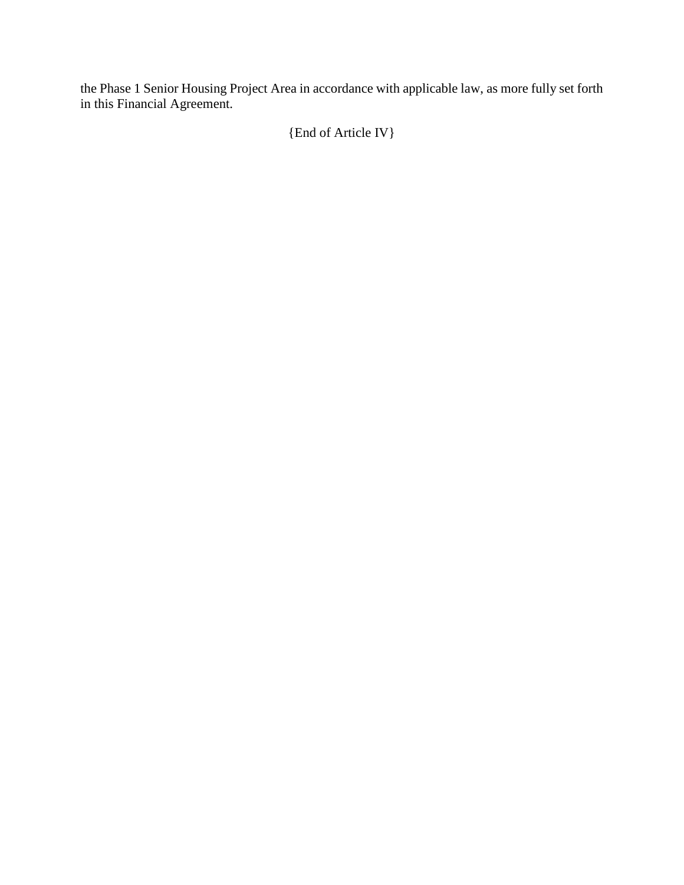the Phase 1 Senior Housing Project Area in accordance with applicable law, as more fully set forth in this Financial Agreement.

{End of Article IV}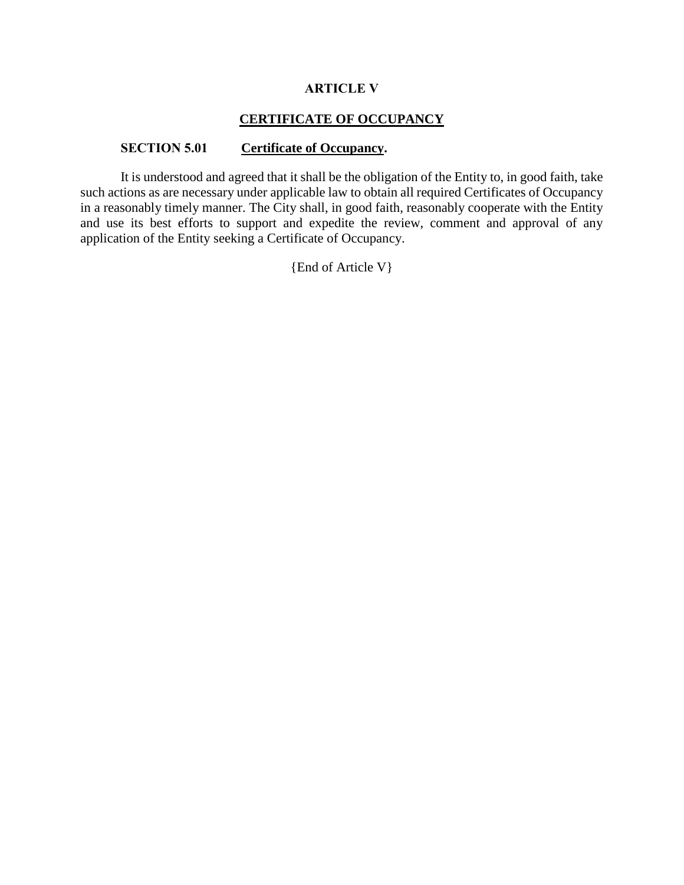# **ARTICLE V**

# **CERTIFICATE OF OCCUPANCY**

## **SECTION 5.01 Certificate of Occupancy.**

It is understood and agreed that it shall be the obligation of the Entity to, in good faith, take such actions as are necessary under applicable law to obtain all required Certificates of Occupancy in a reasonably timely manner. The City shall, in good faith, reasonably cooperate with the Entity and use its best efforts to support and expedite the review, comment and approval of any application of the Entity seeking a Certificate of Occupancy.

{End of Article V}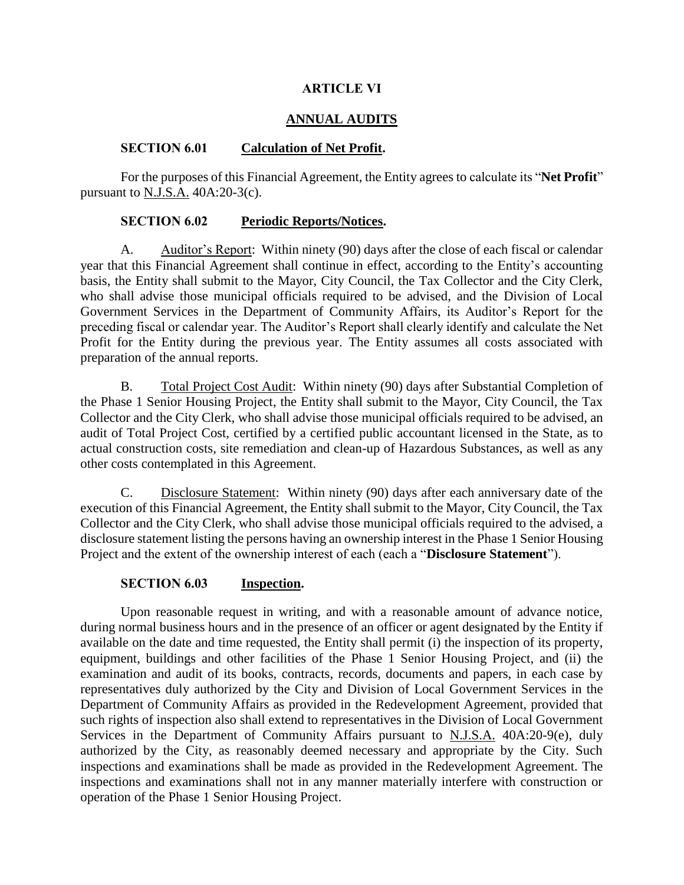# **ARTICLE VI**

# **ANNUAL AUDITS**

# **SECTION 6.01 Calculation of Net Profit.**

For the purposes of this Financial Agreement, the Entity agrees to calculate its "**Net Profit**" pursuant to N.J.S.A. 40A:20-3(c).

# **SECTION 6.02 Periodic Reports/Notices.**

A. Auditor's Report: Within ninety (90) days after the close of each fiscal or calendar year that this Financial Agreement shall continue in effect, according to the Entity's accounting basis, the Entity shall submit to the Mayor, City Council, the Tax Collector and the City Clerk, who shall advise those municipal officials required to be advised, and the Division of Local Government Services in the Department of Community Affairs, its Auditor's Report for the preceding fiscal or calendar year. The Auditor's Report shall clearly identify and calculate the Net Profit for the Entity during the previous year. The Entity assumes all costs associated with preparation of the annual reports.

B. Total Project Cost Audit: Within ninety (90) days after Substantial Completion of the Phase 1 Senior Housing Project, the Entity shall submit to the Mayor, City Council, the Tax Collector and the City Clerk, who shall advise those municipal officials required to be advised, an audit of Total Project Cost, certified by a certified public accountant licensed in the State, as to actual construction costs, site remediation and clean-up of Hazardous Substances, as well as any other costs contemplated in this Agreement.

C. Disclosure Statement: Within ninety (90) days after each anniversary date of the execution of this Financial Agreement, the Entity shall submit to the Mayor, City Council, the Tax Collector and the City Clerk, who shall advise those municipal officials required to the advised, a disclosure statement listing the persons having an ownership interest in the Phase 1 Senior Housing Project and the extent of the ownership interest of each (each a "**Disclosure Statement**").

# **SECTION 6.03 Inspection.**

Upon reasonable request in writing, and with a reasonable amount of advance notice, during normal business hours and in the presence of an officer or agent designated by the Entity if available on the date and time requested, the Entity shall permit (i) the inspection of its property, equipment, buildings and other facilities of the Phase 1 Senior Housing Project, and (ii) the examination and audit of its books, contracts, records, documents and papers, in each case by representatives duly authorized by the City and Division of Local Government Services in the Department of Community Affairs as provided in the Redevelopment Agreement, provided that such rights of inspection also shall extend to representatives in the Division of Local Government Services in the Department of Community Affairs pursuant to N.J.S.A. 40A:20-9(e), duly authorized by the City, as reasonably deemed necessary and appropriate by the City. Such inspections and examinations shall be made as provided in the Redevelopment Agreement. The inspections and examinations shall not in any manner materially interfere with construction or operation of the Phase 1 Senior Housing Project.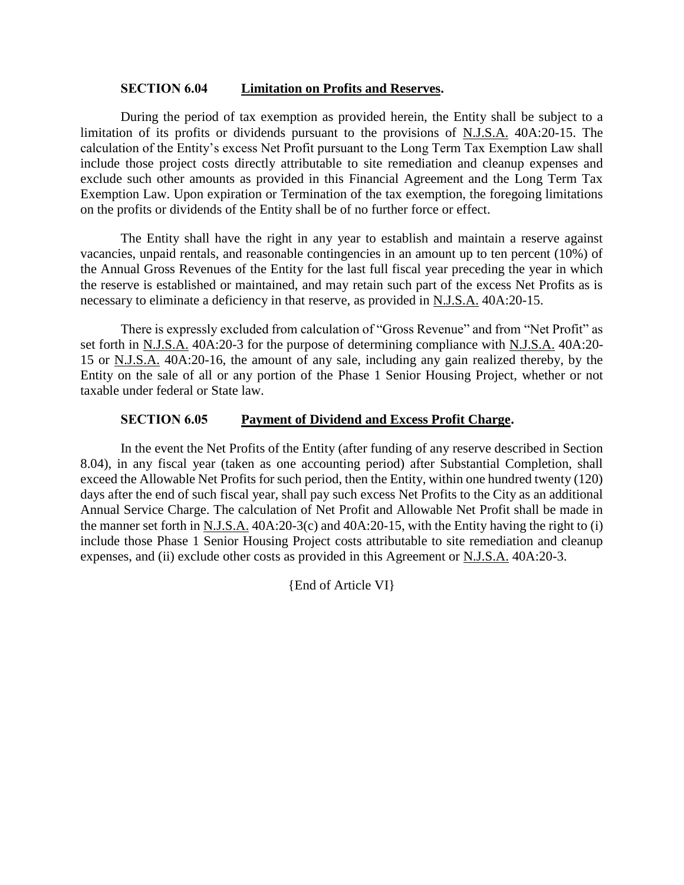## **SECTION 6.04 Limitation on Profits and Reserves.**

During the period of tax exemption as provided herein, the Entity shall be subject to a limitation of its profits or dividends pursuant to the provisions of N.J.S.A. 40A:20-15. The calculation of the Entity's excess Net Profit pursuant to the Long Term Tax Exemption Law shall include those project costs directly attributable to site remediation and cleanup expenses and exclude such other amounts as provided in this Financial Agreement and the Long Term Tax Exemption Law. Upon expiration or Termination of the tax exemption, the foregoing limitations on the profits or dividends of the Entity shall be of no further force or effect.

The Entity shall have the right in any year to establish and maintain a reserve against vacancies, unpaid rentals, and reasonable contingencies in an amount up to ten percent (10%) of the Annual Gross Revenues of the Entity for the last full fiscal year preceding the year in which the reserve is established or maintained, and may retain such part of the excess Net Profits as is necessary to eliminate a deficiency in that reserve, as provided in N.J.S.A. 40A:20-15.

There is expressly excluded from calculation of "Gross Revenue" and from "Net Profit" as set forth in N.J.S.A. 40A:20-3 for the purpose of determining compliance with N.J.S.A. 40A:20- 15 or N.J.S.A. 40A:20-16, the amount of any sale, including any gain realized thereby, by the Entity on the sale of all or any portion of the Phase 1 Senior Housing Project, whether or not taxable under federal or State law.

# **SECTION 6.05 Payment of Dividend and Excess Profit Charge.**

In the event the Net Profits of the Entity (after funding of any reserve described in Section 8.04), in any fiscal year (taken as one accounting period) after Substantial Completion, shall exceed the Allowable Net Profits for such period, then the Entity, within one hundred twenty (120) days after the end of such fiscal year, shall pay such excess Net Profits to the City as an additional Annual Service Charge. The calculation of Net Profit and Allowable Net Profit shall be made in the manner set forth in N.J.S.A. 40A:20-3(c) and 40A:20-15, with the Entity having the right to (i) include those Phase 1 Senior Housing Project costs attributable to site remediation and cleanup expenses, and (ii) exclude other costs as provided in this Agreement or N.J.S.A. 40A:20-3.

{End of Article VI}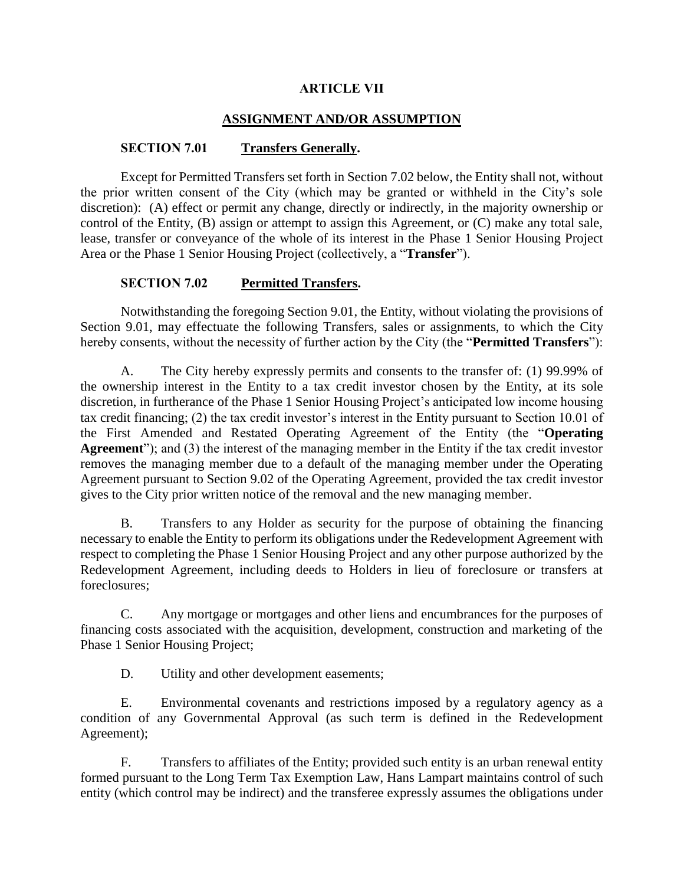# **ARTICLE VII**

# **ASSIGNMENT AND/OR ASSUMPTION**

# **SECTION 7.01 Transfers Generally.**

Except for Permitted Transfers set forth in Section 7.02 below, the Entity shall not, without the prior written consent of the City (which may be granted or withheld in the City's sole discretion): (A) effect or permit any change, directly or indirectly, in the majority ownership or control of the Entity, (B) assign or attempt to assign this Agreement, or (C) make any total sale, lease, transfer or conveyance of the whole of its interest in the Phase 1 Senior Housing Project Area or the Phase 1 Senior Housing Project (collectively, a "**Transfer**").

# **SECTION 7.02 Permitted Transfers.**

Notwithstanding the foregoing Section 9.01, the Entity, without violating the provisions of Section 9.01, may effectuate the following Transfers, sales or assignments, to which the City hereby consents, without the necessity of further action by the City (the "**Permitted Transfers**"):

A. The City hereby expressly permits and consents to the transfer of: (1) 99.99% of the ownership interest in the Entity to a tax credit investor chosen by the Entity, at its sole discretion, in furtherance of the Phase 1 Senior Housing Project's anticipated low income housing tax credit financing; (2) the tax credit investor's interest in the Entity pursuant to Section 10.01 of the First Amended and Restated Operating Agreement of the Entity (the "**Operating Agreement**"); and (3) the interest of the managing member in the Entity if the tax credit investor removes the managing member due to a default of the managing member under the Operating Agreement pursuant to Section 9.02 of the Operating Agreement, provided the tax credit investor gives to the City prior written notice of the removal and the new managing member.

B. Transfers to any Holder as security for the purpose of obtaining the financing necessary to enable the Entity to perform its obligations under the Redevelopment Agreement with respect to completing the Phase 1 Senior Housing Project and any other purpose authorized by the Redevelopment Agreement, including deeds to Holders in lieu of foreclosure or transfers at foreclosures;

C. Any mortgage or mortgages and other liens and encumbrances for the purposes of financing costs associated with the acquisition, development, construction and marketing of the Phase 1 Senior Housing Project;

D. Utility and other development easements;

E. Environmental covenants and restrictions imposed by a regulatory agency as a condition of any Governmental Approval (as such term is defined in the Redevelopment Agreement);

F. Transfers to affiliates of the Entity; provided such entity is an urban renewal entity formed pursuant to the Long Term Tax Exemption Law, Hans Lampart maintains control of such entity (which control may be indirect) and the transferee expressly assumes the obligations under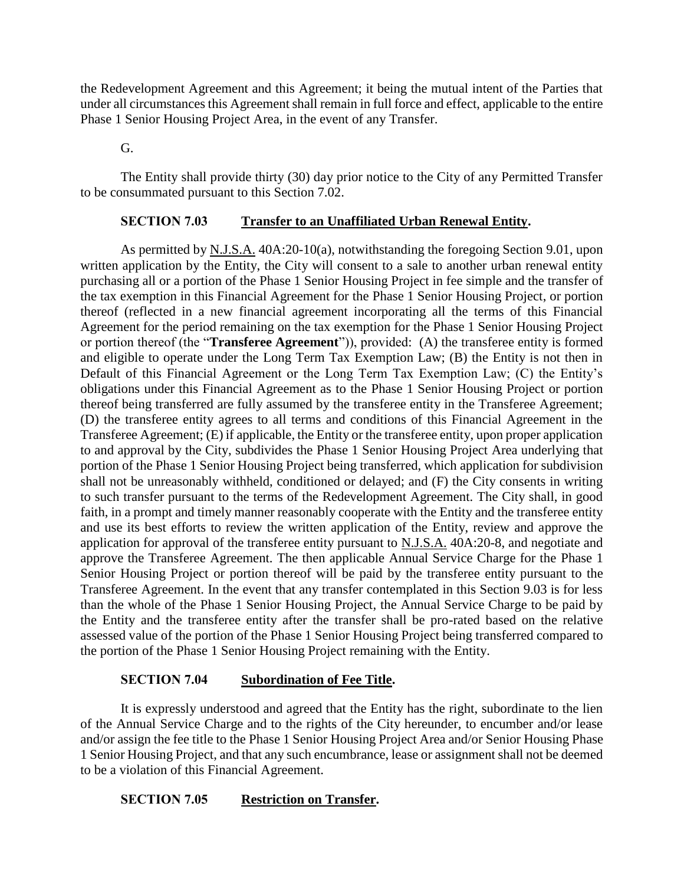the Redevelopment Agreement and this Agreement; it being the mutual intent of the Parties that under all circumstances this Agreement shall remain in full force and effect, applicable to the entire Phase 1 Senior Housing Project Area, in the event of any Transfer.

G.

The Entity shall provide thirty (30) day prior notice to the City of any Permitted Transfer to be consummated pursuant to this Section 7.02.

## **SECTION 7.03 Transfer to an Unaffiliated Urban Renewal Entity.**

As permitted by N.J.S.A. 40A:20-10(a), notwithstanding the foregoing Section 9.01, upon written application by the Entity, the City will consent to a sale to another urban renewal entity purchasing all or a portion of the Phase 1 Senior Housing Project in fee simple and the transfer of the tax exemption in this Financial Agreement for the Phase 1 Senior Housing Project, or portion thereof (reflected in a new financial agreement incorporating all the terms of this Financial Agreement for the period remaining on the tax exemption for the Phase 1 Senior Housing Project or portion thereof (the "**Transferee Agreement**")), provided: (A) the transferee entity is formed and eligible to operate under the Long Term Tax Exemption Law; (B) the Entity is not then in Default of this Financial Agreement or the Long Term Tax Exemption Law; (C) the Entity's obligations under this Financial Agreement as to the Phase 1 Senior Housing Project or portion thereof being transferred are fully assumed by the transferee entity in the Transferee Agreement; (D) the transferee entity agrees to all terms and conditions of this Financial Agreement in the Transferee Agreement; (E) if applicable, the Entity or the transferee entity, upon proper application to and approval by the City, subdivides the Phase 1 Senior Housing Project Area underlying that portion of the Phase 1 Senior Housing Project being transferred, which application for subdivision shall not be unreasonably withheld, conditioned or delayed; and (F) the City consents in writing to such transfer pursuant to the terms of the Redevelopment Agreement. The City shall, in good faith, in a prompt and timely manner reasonably cooperate with the Entity and the transferee entity and use its best efforts to review the written application of the Entity, review and approve the application for approval of the transferee entity pursuant to N.J.S.A. 40A:20-8, and negotiate and approve the Transferee Agreement. The then applicable Annual Service Charge for the Phase 1 Senior Housing Project or portion thereof will be paid by the transferee entity pursuant to the Transferee Agreement. In the event that any transfer contemplated in this Section 9.03 is for less than the whole of the Phase 1 Senior Housing Project, the Annual Service Charge to be paid by the Entity and the transferee entity after the transfer shall be pro-rated based on the relative assessed value of the portion of the Phase 1 Senior Housing Project being transferred compared to the portion of the Phase 1 Senior Housing Project remaining with the Entity.

# **SECTION 7.04 Subordination of Fee Title.**

It is expressly understood and agreed that the Entity has the right, subordinate to the lien of the Annual Service Charge and to the rights of the City hereunder, to encumber and/or lease and/or assign the fee title to the Phase 1 Senior Housing Project Area and/or Senior Housing Phase 1 Senior Housing Project, and that any such encumbrance, lease or assignment shall not be deemed to be a violation of this Financial Agreement.

# **SECTION 7.05 Restriction on Transfer.**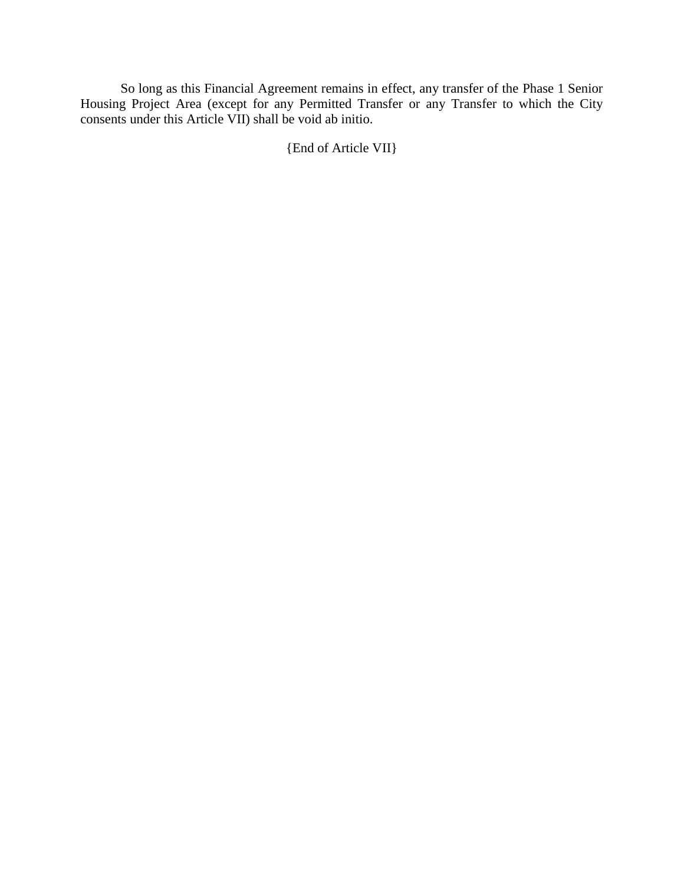So long as this Financial Agreement remains in effect, any transfer of the Phase 1 Senior Housing Project Area (except for any Permitted Transfer or any Transfer to which the City consents under this Article VII) shall be void ab initio.

{End of Article VII}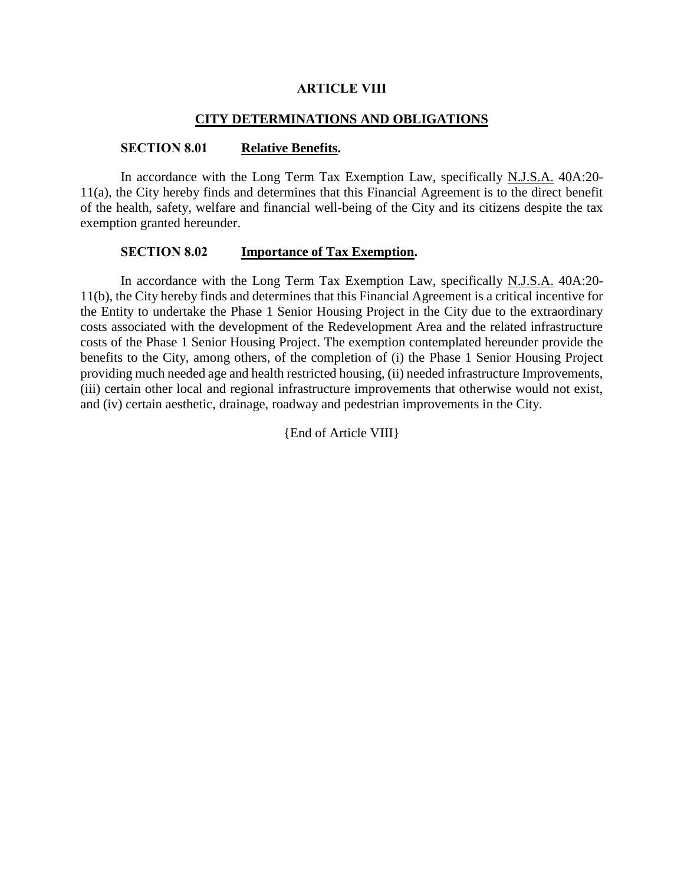#### **ARTICLE VIII**

# **CITY DETERMINATIONS AND OBLIGATIONS**

#### **SECTION 8.01 Relative Benefits.**

In accordance with the Long Term Tax Exemption Law, specifically N.J.S.A. 40A:20- 11(a), the City hereby finds and determines that this Financial Agreement is to the direct benefit of the health, safety, welfare and financial well-being of the City and its citizens despite the tax exemption granted hereunder.

## **SECTION 8.02 Importance of Tax Exemption.**

In accordance with the Long Term Tax Exemption Law, specifically N.J.S.A. 40A:20- 11(b), the City hereby finds and determines that this Financial Agreement is a critical incentive for the Entity to undertake the Phase 1 Senior Housing Project in the City due to the extraordinary costs associated with the development of the Redevelopment Area and the related infrastructure costs of the Phase 1 Senior Housing Project. The exemption contemplated hereunder provide the benefits to the City, among others, of the completion of (i) the Phase 1 Senior Housing Project providing much needed age and health restricted housing, (ii) needed infrastructure Improvements, (iii) certain other local and regional infrastructure improvements that otherwise would not exist, and (iv) certain aesthetic, drainage, roadway and pedestrian improvements in the City.

{End of Article VIII}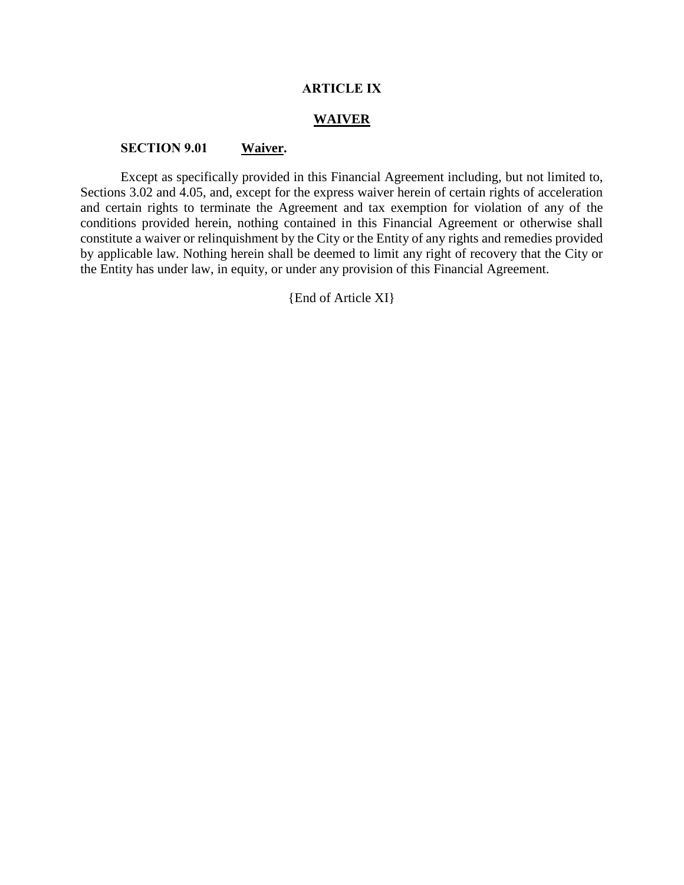## **ARTICLE IX**

### **WAIVER**

## **SECTION 9.01 Waiver.**

Except as specifically provided in this Financial Agreement including, but not limited to, Sections 3.02 and 4.05, and, except for the express waiver herein of certain rights of acceleration and certain rights to terminate the Agreement and tax exemption for violation of any of the conditions provided herein, nothing contained in this Financial Agreement or otherwise shall constitute a waiver or relinquishment by the City or the Entity of any rights and remedies provided by applicable law. Nothing herein shall be deemed to limit any right of recovery that the City or the Entity has under law, in equity, or under any provision of this Financial Agreement.

{End of Article XI}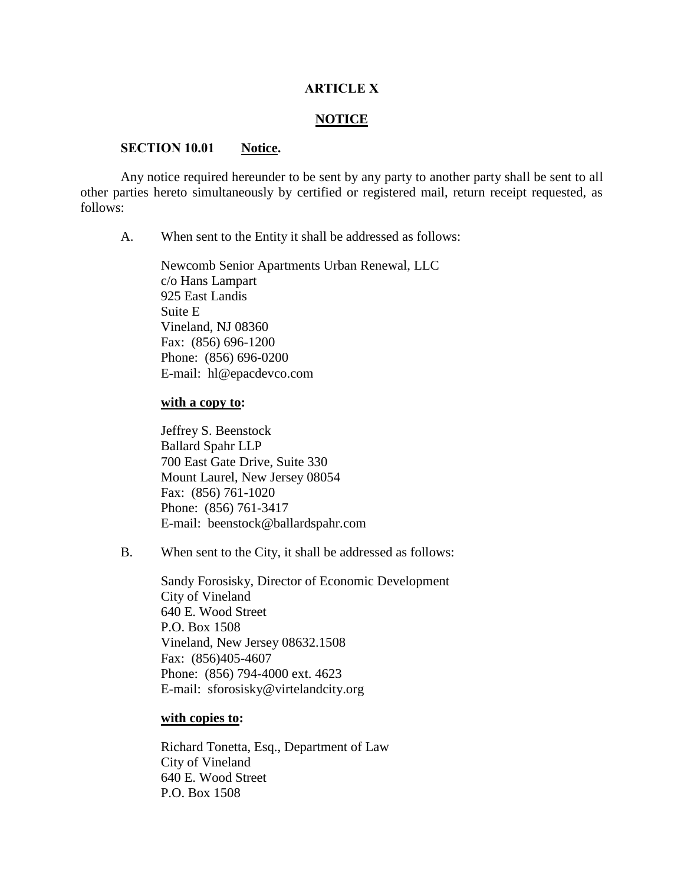## **ARTICLE X**

## **NOTICE**

#### **SECTION 10.01 Notice.**

Any notice required hereunder to be sent by any party to another party shall be sent to all other parties hereto simultaneously by certified or registered mail, return receipt requested, as follows:

A. When sent to the Entity it shall be addressed as follows:

Newcomb Senior Apartments Urban Renewal, LLC c/o Hans Lampart 925 East Landis Suite E Vineland, NJ 08360 Fax: (856) 696-1200 Phone: (856) 696-0200 E-mail: hl@epacdevco.com

## **with a copy to:**

Jeffrey S. Beenstock Ballard Spahr LLP 700 East Gate Drive, Suite 330 Mount Laurel, New Jersey 08054 Fax: (856) 761-1020 Phone: (856) 761-3417 E-mail: beenstock@ballardspahr.com

B. When sent to the City, it shall be addressed as follows:

Sandy Forosisky, Director of Economic Development City of Vineland 640 E. Wood Street P.O. Box 1508 Vineland, New Jersey 08632.1508 Fax: (856)405-4607 Phone: (856) 794-4000 ext. 4623 E-mail: sforosisky@virtelandcity.org

## **with copies to:**

Richard Tonetta, Esq., Department of Law City of Vineland 640 E. Wood Street P.O. Box 1508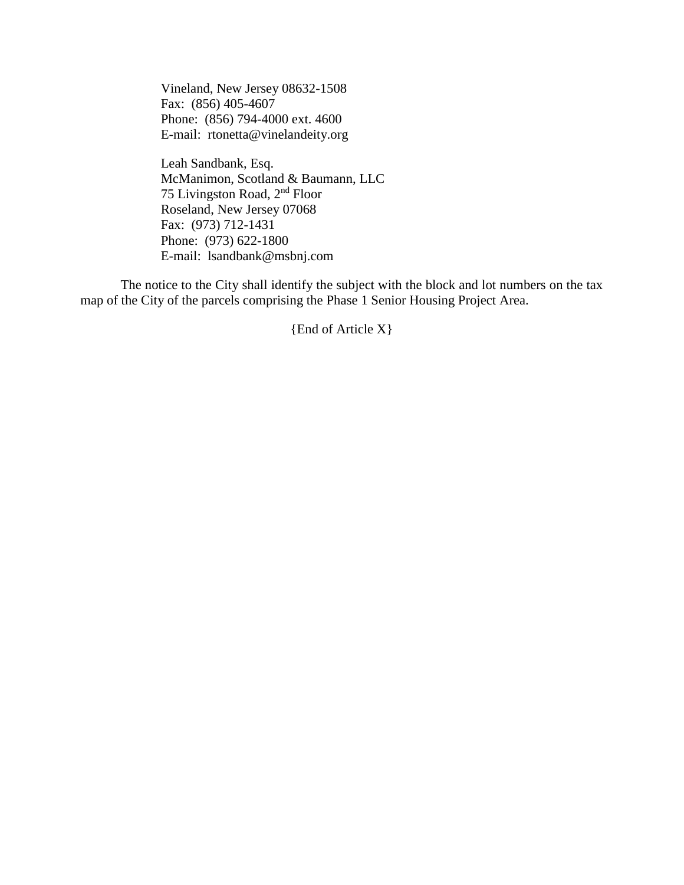Vineland, New Jersey 08632-1508 Fax: (856) 405-4607 Phone: (856) 794-4000 ext. 4600 E-mail: rtonetta@vinelandeity.org

Leah Sandbank, Esq. McManimon, Scotland & Baumann, LLC 75 Livingston Road, 2<sup>nd</sup> Floor Roseland, New Jersey 07068 Fax: (973) 712-1431 Phone: (973) 622-1800 E-mail: lsandbank@msbnj.com

The notice to the City shall identify the subject with the block and lot numbers on the tax map of the City of the parcels comprising the Phase 1 Senior Housing Project Area.

{End of Article X}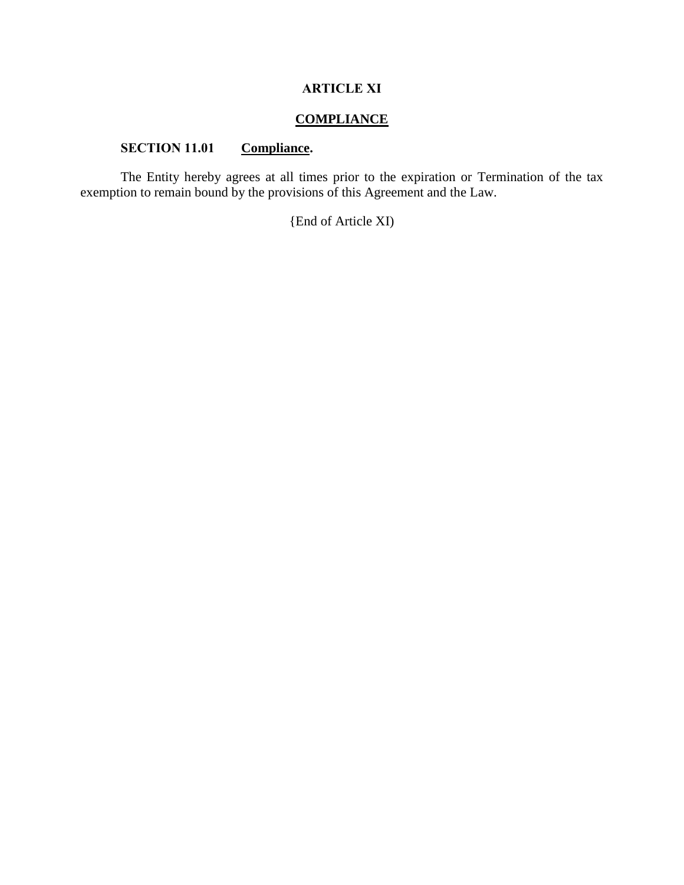# **ARTICLE XI**

# **COMPLIANCE**

# **SECTION 11.01 Compliance.**

The Entity hereby agrees at all times prior to the expiration or Termination of the tax exemption to remain bound by the provisions of this Agreement and the Law.

{End of Article XI)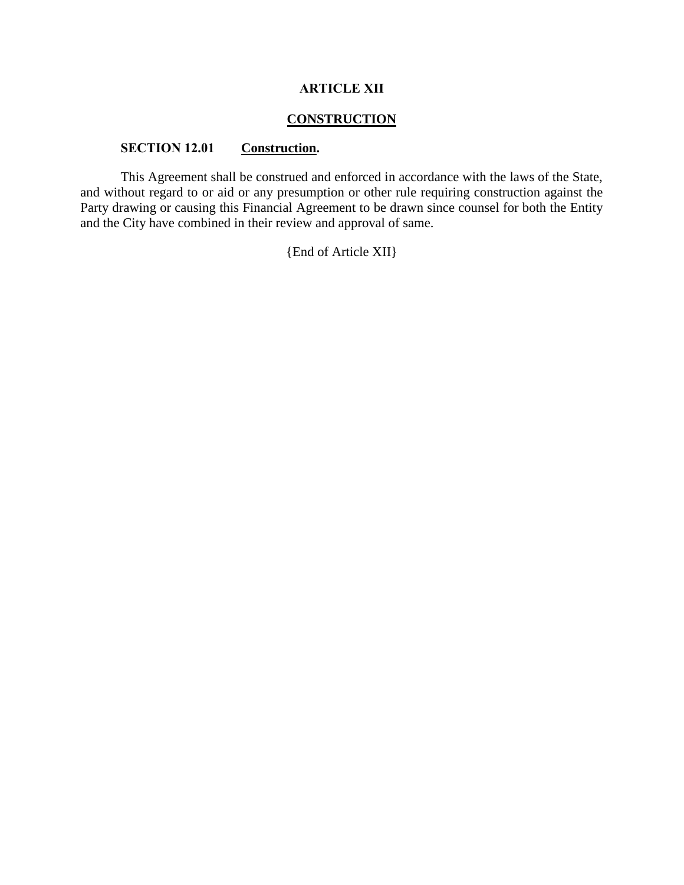# **ARTICLE XII**

# **CONSTRUCTION**

# **SECTION 12.01 Construction.**

This Agreement shall be construed and enforced in accordance with the laws of the State, and without regard to or aid or any presumption or other rule requiring construction against the Party drawing or causing this Financial Agreement to be drawn since counsel for both the Entity and the City have combined in their review and approval of same.

{End of Article XII}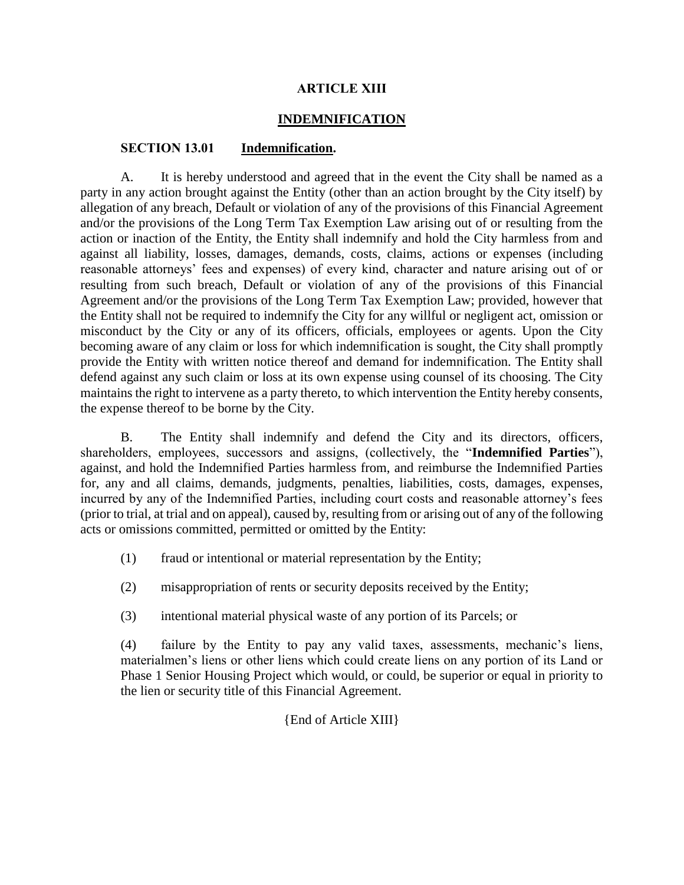# **ARTICLE XIII**

# **INDEMNIFICATION**

## **SECTION 13.01 Indemnification.**

A. It is hereby understood and agreed that in the event the City shall be named as a party in any action brought against the Entity (other than an action brought by the City itself) by allegation of any breach, Default or violation of any of the provisions of this Financial Agreement and/or the provisions of the Long Term Tax Exemption Law arising out of or resulting from the action or inaction of the Entity, the Entity shall indemnify and hold the City harmless from and against all liability, losses, damages, demands, costs, claims, actions or expenses (including reasonable attorneys' fees and expenses) of every kind, character and nature arising out of or resulting from such breach, Default or violation of any of the provisions of this Financial Agreement and/or the provisions of the Long Term Tax Exemption Law; provided, however that the Entity shall not be required to indemnify the City for any willful or negligent act, omission or misconduct by the City or any of its officers, officials, employees or agents. Upon the City becoming aware of any claim or loss for which indemnification is sought, the City shall promptly provide the Entity with written notice thereof and demand for indemnification. The Entity shall defend against any such claim or loss at its own expense using counsel of its choosing. The City maintains the right to intervene as a party thereto, to which intervention the Entity hereby consents, the expense thereof to be borne by the City.

B. The Entity shall indemnify and defend the City and its directors, officers, shareholders, employees, successors and assigns, (collectively, the "**Indemnified Parties**"), against, and hold the Indemnified Parties harmless from, and reimburse the Indemnified Parties for, any and all claims, demands, judgments, penalties, liabilities, costs, damages, expenses, incurred by any of the Indemnified Parties, including court costs and reasonable attorney's fees (prior to trial, at trial and on appeal), caused by, resulting from or arising out of any of the following acts or omissions committed, permitted or omitted by the Entity:

- (1) fraud or intentional or material representation by the Entity;
- (2) misappropriation of rents or security deposits received by the Entity;
- (3) intentional material physical waste of any portion of its Parcels; or

(4) failure by the Entity to pay any valid taxes, assessments, mechanic's liens, materialmen's liens or other liens which could create liens on any portion of its Land or Phase 1 Senior Housing Project which would, or could, be superior or equal in priority to the lien or security title of this Financial Agreement.

# {End of Article XIII}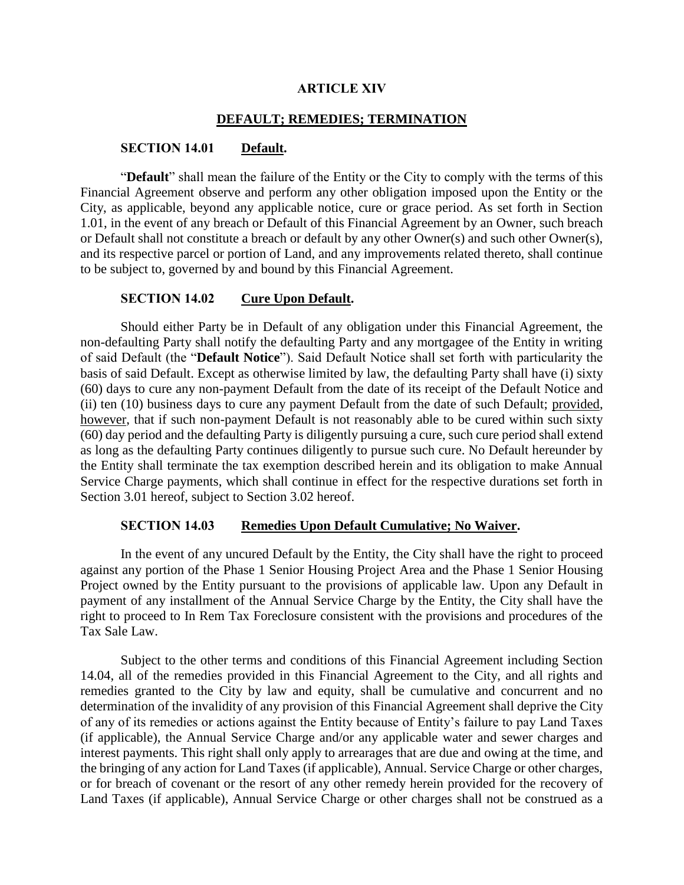#### **ARTICLE XIV**

## **DEFAULT; REMEDIES; TERMINATION**

## **SECTION 14.01 Default.**

"**Default**" shall mean the failure of the Entity or the City to comply with the terms of this Financial Agreement observe and perform any other obligation imposed upon the Entity or the City, as applicable, beyond any applicable notice, cure or grace period. As set forth in Section 1.01, in the event of any breach or Default of this Financial Agreement by an Owner, such breach or Default shall not constitute a breach or default by any other Owner(s) and such other Owner(s), and its respective parcel or portion of Land, and any improvements related thereto, shall continue to be subject to, governed by and bound by this Financial Agreement.

#### **SECTION 14.02 Cure Upon Default.**

Should either Party be in Default of any obligation under this Financial Agreement, the non-defaulting Party shall notify the defaulting Party and any mortgagee of the Entity in writing of said Default (the "**Default Notice**"). Said Default Notice shall set forth with particularity the basis of said Default. Except as otherwise limited by law, the defaulting Party shall have (i) sixty (60) days to cure any non-payment Default from the date of its receipt of the Default Notice and (ii) ten (10) business days to cure any payment Default from the date of such Default; provided, however, that if such non-payment Default is not reasonably able to be cured within such sixty (60) day period and the defaulting Party is diligently pursuing a cure, such cure period shall extend as long as the defaulting Party continues diligently to pursue such cure. No Default hereunder by the Entity shall terminate the tax exemption described herein and its obligation to make Annual Service Charge payments, which shall continue in effect for the respective durations set forth in Section 3.01 hereof, subject to Section 3.02 hereof.

#### **SECTION 14.03 Remedies Upon Default Cumulative; No Waiver.**

In the event of any uncured Default by the Entity, the City shall have the right to proceed against any portion of the Phase 1 Senior Housing Project Area and the Phase 1 Senior Housing Project owned by the Entity pursuant to the provisions of applicable law. Upon any Default in payment of any installment of the Annual Service Charge by the Entity, the City shall have the right to proceed to In Rem Tax Foreclosure consistent with the provisions and procedures of the Tax Sale Law.

Subject to the other terms and conditions of this Financial Agreement including Section 14.04, all of the remedies provided in this Financial Agreement to the City, and all rights and remedies granted to the City by law and equity, shall be cumulative and concurrent and no determination of the invalidity of any provision of this Financial Agreement shall deprive the City of any of its remedies or actions against the Entity because of Entity's failure to pay Land Taxes (if applicable), the Annual Service Charge and/or any applicable water and sewer charges and interest payments. This right shall only apply to arrearages that are due and owing at the time, and the bringing of any action for Land Taxes (if applicable), Annual. Service Charge or other charges, or for breach of covenant or the resort of any other remedy herein provided for the recovery of Land Taxes (if applicable), Annual Service Charge or other charges shall not be construed as a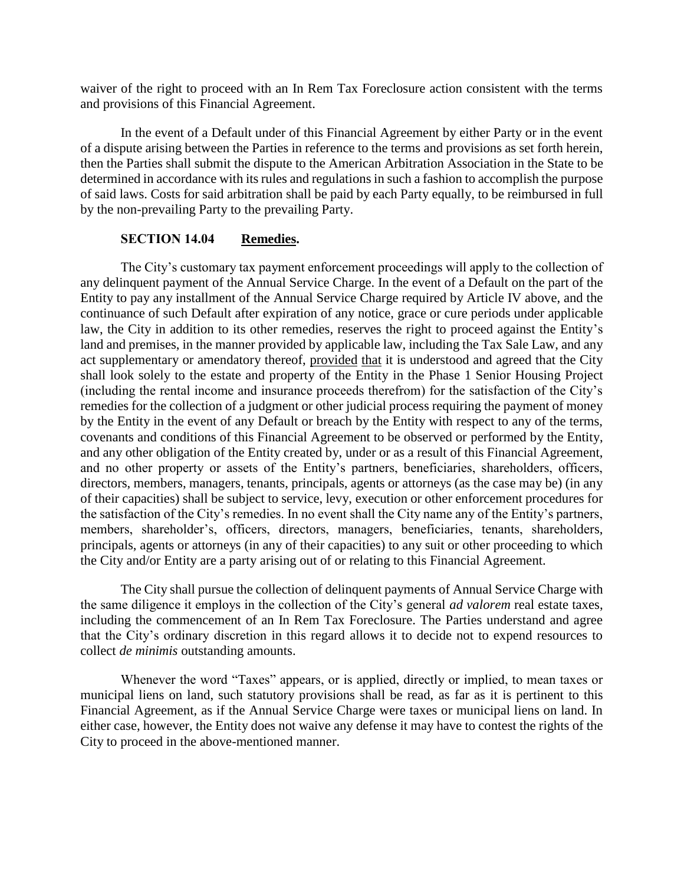waiver of the right to proceed with an In Rem Tax Foreclosure action consistent with the terms and provisions of this Financial Agreement.

In the event of a Default under of this Financial Agreement by either Party or in the event of a dispute arising between the Parties in reference to the terms and provisions as set forth herein, then the Parties shall submit the dispute to the American Arbitration Association in the State to be determined in accordance with its rules and regulations in such a fashion to accomplish the purpose of said laws. Costs for said arbitration shall be paid by each Party equally, to be reimbursed in full by the non-prevailing Party to the prevailing Party.

## **SECTION 14.04 Remedies.**

The City's customary tax payment enforcement proceedings will apply to the collection of any delinquent payment of the Annual Service Charge. In the event of a Default on the part of the Entity to pay any installment of the Annual Service Charge required by Article IV above, and the continuance of such Default after expiration of any notice, grace or cure periods under applicable law, the City in addition to its other remedies, reserves the right to proceed against the Entity's land and premises, in the manner provided by applicable law, including the Tax Sale Law, and any act supplementary or amendatory thereof, provided that it is understood and agreed that the City shall look solely to the estate and property of the Entity in the Phase 1 Senior Housing Project (including the rental income and insurance proceeds therefrom) for the satisfaction of the City's remedies for the collection of a judgment or other judicial process requiring the payment of money by the Entity in the event of any Default or breach by the Entity with respect to any of the terms, covenants and conditions of this Financial Agreement to be observed or performed by the Entity, and any other obligation of the Entity created by, under or as a result of this Financial Agreement, and no other property or assets of the Entity's partners, beneficiaries, shareholders, officers, directors, members, managers, tenants, principals, agents or attorneys (as the case may be) (in any of their capacities) shall be subject to service, levy, execution or other enforcement procedures for the satisfaction of the City's remedies. In no event shall the City name any of the Entity's partners, members, shareholder's, officers, directors, managers, beneficiaries, tenants, shareholders, principals, agents or attorneys (in any of their capacities) to any suit or other proceeding to which the City and/or Entity are a party arising out of or relating to this Financial Agreement.

The City shall pursue the collection of delinquent payments of Annual Service Charge with the same diligence it employs in the collection of the City's general *ad valorem* real estate taxes, including the commencement of an In Rem Tax Foreclosure. The Parties understand and agree that the City's ordinary discretion in this regard allows it to decide not to expend resources to collect *de minimis* outstanding amounts.

Whenever the word "Taxes" appears, or is applied, directly or implied, to mean taxes or municipal liens on land, such statutory provisions shall be read, as far as it is pertinent to this Financial Agreement, as if the Annual Service Charge were taxes or municipal liens on land. In either case, however, the Entity does not waive any defense it may have to contest the rights of the City to proceed in the above-mentioned manner.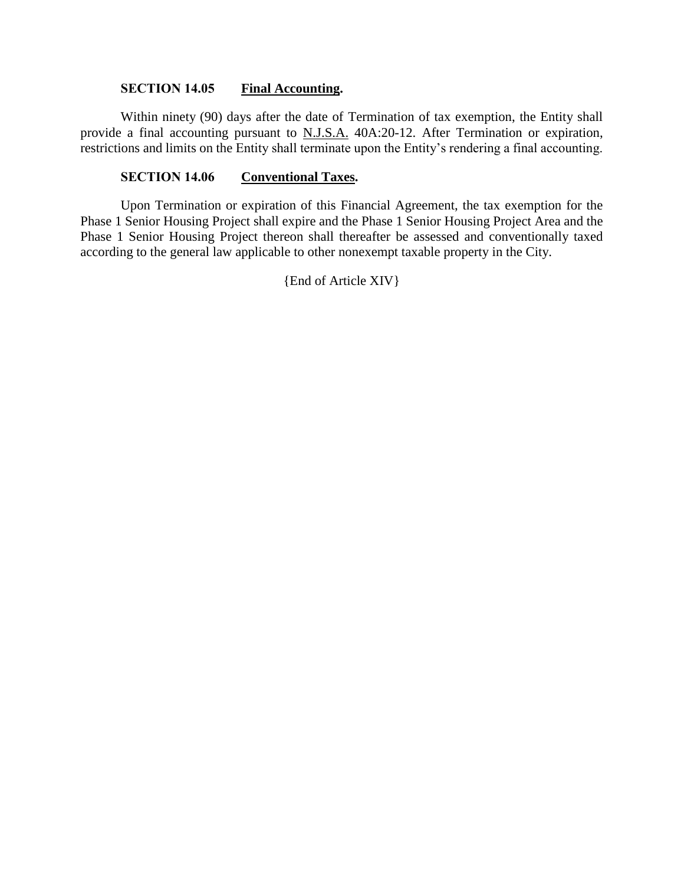# **SECTION 14.05 Final Accounting.**

Within ninety (90) days after the date of Termination of tax exemption, the Entity shall provide a final accounting pursuant to N.J.S.A. 40A:20-12. After Termination or expiration, restrictions and limits on the Entity shall terminate upon the Entity's rendering a final accounting.

## **SECTION 14.06 Conventional Taxes.**

Upon Termination or expiration of this Financial Agreement, the tax exemption for the Phase 1 Senior Housing Project shall expire and the Phase 1 Senior Housing Project Area and the Phase 1 Senior Housing Project thereon shall thereafter be assessed and conventionally taxed according to the general law applicable to other nonexempt taxable property in the City.

{End of Article XIV}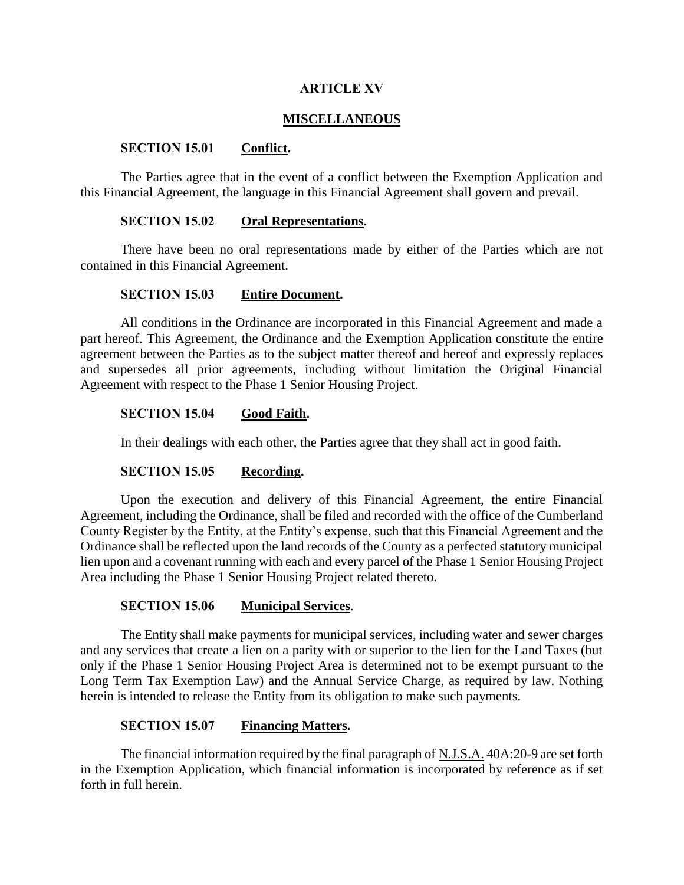## **ARTICLE XV**

## **MISCELLANEOUS**

## **SECTION 15.01 Conflict.**

The Parties agree that in the event of a conflict between the Exemption Application and this Financial Agreement, the language in this Financial Agreement shall govern and prevail.

# **SECTION 15.02 Oral Representations.**

There have been no oral representations made by either of the Parties which are not contained in this Financial Agreement.

## **SECTION 15.03 Entire Document.**

All conditions in the Ordinance are incorporated in this Financial Agreement and made a part hereof. This Agreement, the Ordinance and the Exemption Application constitute the entire agreement between the Parties as to the subject matter thereof and hereof and expressly replaces and supersedes all prior agreements, including without limitation the Original Financial Agreement with respect to the Phase 1 Senior Housing Project.

# **SECTION 15.04 Good Faith.**

In their dealings with each other, the Parties agree that they shall act in good faith.

## **SECTION 15.05 Recording.**

Upon the execution and delivery of this Financial Agreement, the entire Financial Agreement, including the Ordinance, shall be filed and recorded with the office of the Cumberland County Register by the Entity, at the Entity's expense, such that this Financial Agreement and the Ordinance shall be reflected upon the land records of the County as a perfected statutory municipal lien upon and a covenant running with each and every parcel of the Phase 1 Senior Housing Project Area including the Phase 1 Senior Housing Project related thereto.

## **SECTION 15.06 Municipal Services**.

The Entity shall make payments for municipal services, including water and sewer charges and any services that create a lien on a parity with or superior to the lien for the Land Taxes (but only if the Phase 1 Senior Housing Project Area is determined not to be exempt pursuant to the Long Term Tax Exemption Law) and the Annual Service Charge, as required by law. Nothing herein is intended to release the Entity from its obligation to make such payments.

# **SECTION 15.07 Financing Matters.**

The financial information required by the final paragraph of N.J.S.A. 40A:20-9 are set forth in the Exemption Application, which financial information is incorporated by reference as if set forth in full herein.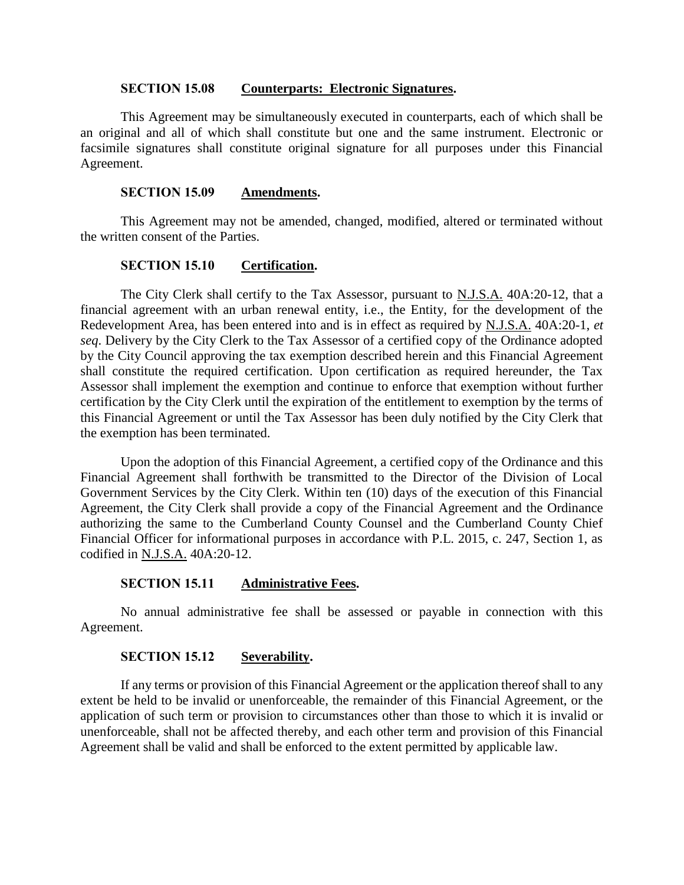## **SECTION 15.08 Counterparts: Electronic Signatures.**

This Agreement may be simultaneously executed in counterparts, each of which shall be an original and all of which shall constitute but one and the same instrument. Electronic or facsimile signatures shall constitute original signature for all purposes under this Financial Agreement.

### **SECTION 15.09 Amendments.**

This Agreement may not be amended, changed, modified, altered or terminated without the written consent of the Parties.

## **SECTION 15.10 Certification.**

The City Clerk shall certify to the Tax Assessor, pursuant to **N.J.S.A.** 40A:20-12, that a financial agreement with an urban renewal entity, i.e., the Entity, for the development of the Redevelopment Area, has been entered into and is in effect as required by N.J.S.A. 40A:20-1, *et seq*. Delivery by the City Clerk to the Tax Assessor of a certified copy of the Ordinance adopted by the City Council approving the tax exemption described herein and this Financial Agreement shall constitute the required certification. Upon certification as required hereunder, the Tax Assessor shall implement the exemption and continue to enforce that exemption without further certification by the City Clerk until the expiration of the entitlement to exemption by the terms of this Financial Agreement or until the Tax Assessor has been duly notified by the City Clerk that the exemption has been terminated.

Upon the adoption of this Financial Agreement, a certified copy of the Ordinance and this Financial Agreement shall forthwith be transmitted to the Director of the Division of Local Government Services by the City Clerk. Within ten (10) days of the execution of this Financial Agreement, the City Clerk shall provide a copy of the Financial Agreement and the Ordinance authorizing the same to the Cumberland County Counsel and the Cumberland County Chief Financial Officer for informational purposes in accordance with P.L. 2015, c. 247, Section 1, as codified in N.J.S.A. 40A:20-12.

# **SECTION 15.11 Administrative Fees.**

No annual administrative fee shall be assessed or payable in connection with this Agreement.

## **SECTION 15.12 Severability.**

If any terms or provision of this Financial Agreement or the application thereof shall to any extent be held to be invalid or unenforceable, the remainder of this Financial Agreement, or the application of such term or provision to circumstances other than those to which it is invalid or unenforceable, shall not be affected thereby, and each other term and provision of this Financial Agreement shall be valid and shall be enforced to the extent permitted by applicable law.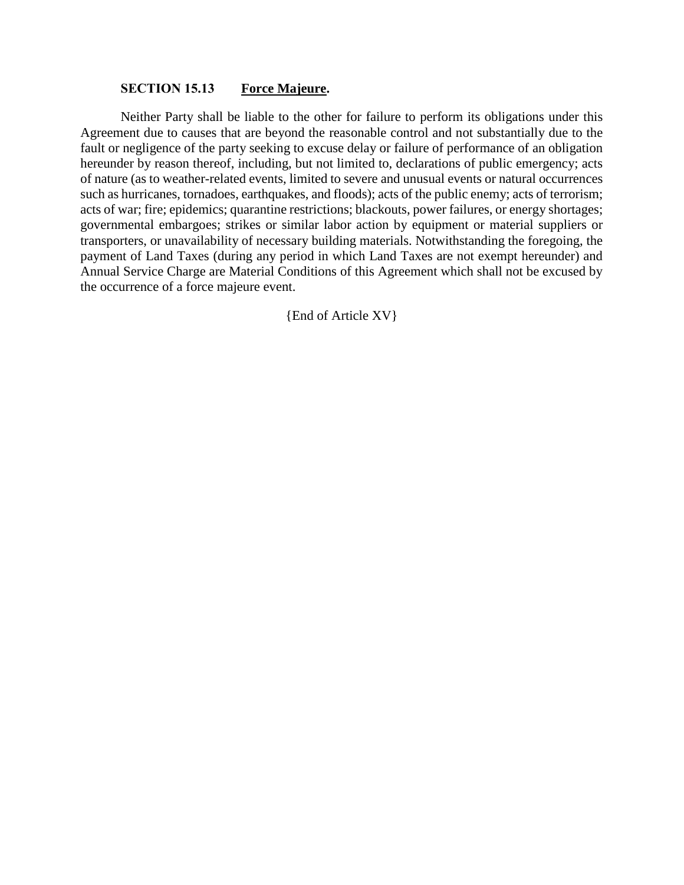## **SECTION 15.13 Force Majeure.**

Neither Party shall be liable to the other for failure to perform its obligations under this Agreement due to causes that are beyond the reasonable control and not substantially due to the fault or negligence of the party seeking to excuse delay or failure of performance of an obligation hereunder by reason thereof, including, but not limited to, declarations of public emergency; acts of nature (as to weather-related events, limited to severe and unusual events or natural occurrences such as hurricanes, tornadoes, earthquakes, and floods); acts of the public enemy; acts of terrorism; acts of war; fire; epidemics; quarantine restrictions; blackouts, power failures, or energy shortages; governmental embargoes; strikes or similar labor action by equipment or material suppliers or transporters, or unavailability of necessary building materials. Notwithstanding the foregoing, the payment of Land Taxes (during any period in which Land Taxes are not exempt hereunder) and Annual Service Charge are Material Conditions of this Agreement which shall not be excused by the occurrence of a force majeure event.

{End of Article XV}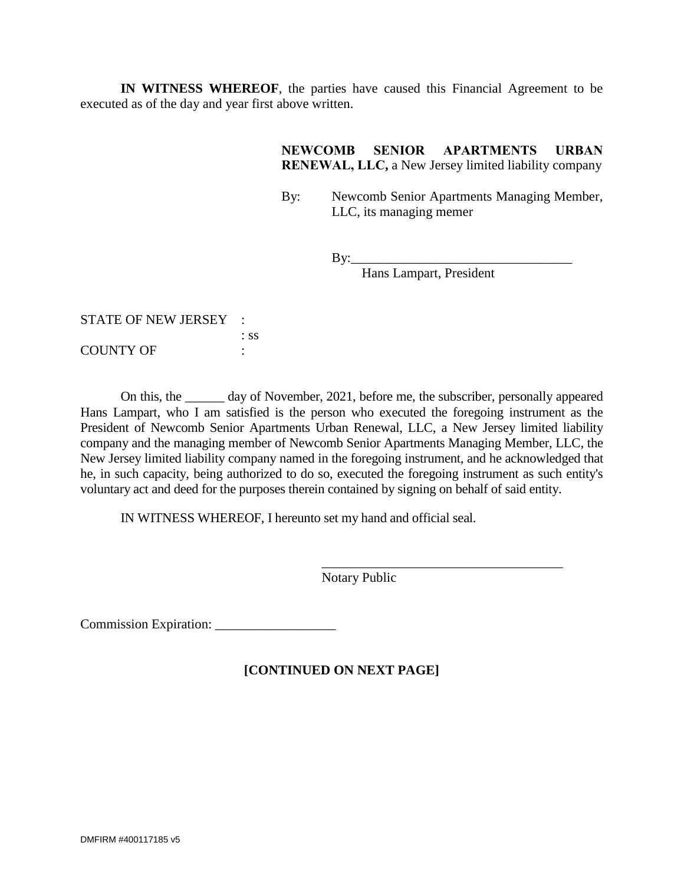**IN WITNESS WHEREOF**, the parties have caused this Financial Agreement to be executed as of the day and year first above written.

# **NEWCOMB SENIOR APARTMENTS URBAN RENEWAL, LLC,** a New Jersey limited liability company

By: Newcomb Senior Apartments Managing Member, LLC, its managing memer

 $By:$ 

Hans Lampart, President

\_\_\_\_\_\_\_\_\_\_\_\_\_\_\_\_\_\_\_\_\_\_\_\_\_\_\_\_\_\_\_\_\_\_\_\_

STATE OF NEW JERSEY : : ss COUNTY OF :

On this, the \_\_\_\_\_\_ day of November, 2021, before me, the subscriber, personally appeared Hans Lampart, who I am satisfied is the person who executed the foregoing instrument as the President of Newcomb Senior Apartments Urban Renewal, LLC, a New Jersey limited liability company and the managing member of Newcomb Senior Apartments Managing Member, LLC, the New Jersey limited liability company named in the foregoing instrument, and he acknowledged that he, in such capacity, being authorized to do so, executed the foregoing instrument as such entity's voluntary act and deed for the purposes therein contained by signing on behalf of said entity.

IN WITNESS WHEREOF, I hereunto set my hand and official seal.

Notary Public

Commission Expiration: \_\_\_\_\_\_\_\_\_\_\_\_\_\_\_\_\_\_

# **[CONTINUED ON NEXT PAGE]**